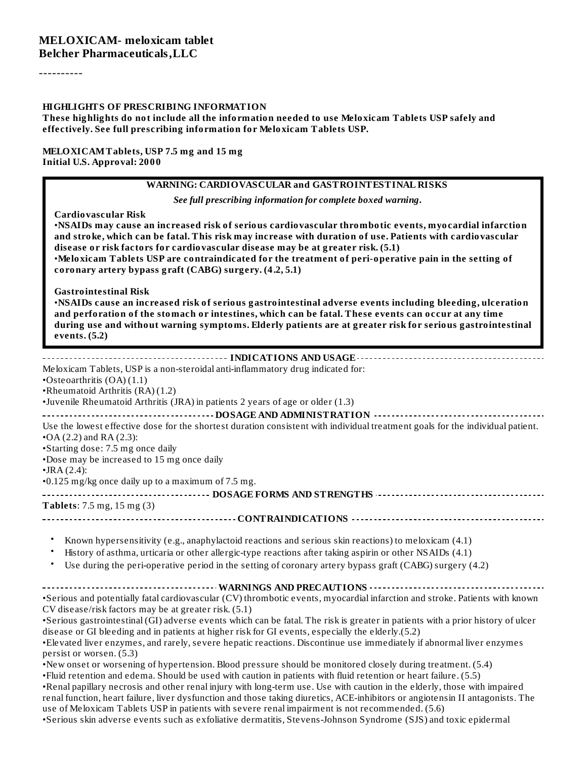----------

#### **HIGHLIGHTS OF PRESCRIBING INFORMATION**

**These highlights do not include all the information needed to use Meloxicam Tablets USP safely and effectively. See full prescribing information for Meloxicam Tablets USP.**

#### **MELOXICAMTablets, USP 7.5 mg and 15 mg Initial U.S. Approval: 2000**

| <b>WARNING: CARDIOVASCULAR and GASTROINTESTINAL RISKS</b>                                                                                                                                                                                                                                                                                                                                                                                                                                                 |
|-----------------------------------------------------------------------------------------------------------------------------------------------------------------------------------------------------------------------------------------------------------------------------------------------------------------------------------------------------------------------------------------------------------------------------------------------------------------------------------------------------------|
| See full prescribing information for complete boxed warning.                                                                                                                                                                                                                                                                                                                                                                                                                                              |
| <b>Cardiovascular Risk</b><br>•NSAIDs may cause an increased risk of serious cardiovascular thrombotic events, myocardial infarction<br>and stroke, which can be fatal. This risk may increase with duration of use. Patients with cardiovascular<br>disease or risk factors for cardiovascular disease may be at greater risk. (5.1)<br>•Meloxicam Tablets USP are contraindicated for the treatment of peri-operative pain in the setting of<br>coronary artery bypass graft (CABG) surgery. (4.2, 5.1) |
| <b>Gastrointestinal Risk</b><br>•NSAIDs cause an increased risk of serious gastrointestinal adverse events including bleeding, ulceration<br>and perforation of the stomach or intestines, which can be fatal. These events can occur at any time<br>during use and without warning symptoms. Elderly patients are at greater risk for serious gastrointestinal<br>events. (5.2)                                                                                                                          |
|                                                                                                                                                                                                                                                                                                                                                                                                                                                                                                           |
| Meloxicam Tablets, USP is a non-steroidal anti-inflammatory drug indicated for:<br>•Osteoarthritis (OA)(1.1)                                                                                                                                                                                                                                                                                                                                                                                              |
| •Rheumatoid Arthritis (RA)(1.2)                                                                                                                                                                                                                                                                                                                                                                                                                                                                           |
| •Juvenile Rheumatoid Arthritis (JRA) in patients 2 years of age or older (1.3)                                                                                                                                                                                                                                                                                                                                                                                                                            |
| ----- DOSAGE AND ADMINISTRATION ---------                                                                                                                                                                                                                                                                                                                                                                                                                                                                 |
| Use the lowest effective dose for the shortest duration consistent with individual treatment goals for the individual patient.                                                                                                                                                                                                                                                                                                                                                                            |
| $\bullet$ OA (2.2) and RA (2.3):<br>•Starting dose: 7.5 mg once daily                                                                                                                                                                                                                                                                                                                                                                                                                                     |
| •Dose may be increased to 15 mg once daily                                                                                                                                                                                                                                                                                                                                                                                                                                                                |
| $\cdot$ JRA (2.4):                                                                                                                                                                                                                                                                                                                                                                                                                                                                                        |
| •0.125 mg/kg once daily up to a maximum of 7.5 mg.                                                                                                                                                                                                                                                                                                                                                                                                                                                        |
| DOSAGE FORMS AND STRENGTHS                                                                                                                                                                                                                                                                                                                                                                                                                                                                                |
| <b>Tablets:</b> 7.5 mg, 15 mg (3)                                                                                                                                                                                                                                                                                                                                                                                                                                                                         |
|                                                                                                                                                                                                                                                                                                                                                                                                                                                                                                           |
| Known hypersensitivity (e.g., anaphylactoid reactions and serious skin reactions) to meloxicam (4.1)                                                                                                                                                                                                                                                                                                                                                                                                      |
| History of asthma, urticaria or other allergic-type reactions after taking aspirin or other NSAIDs (4.1)                                                                                                                                                                                                                                                                                                                                                                                                  |
| Use during the peri-operative period in the setting of coronary artery bypass graft (CABG) surgery (4.2)                                                                                                                                                                                                                                                                                                                                                                                                  |
| ------------------- WARNINGS AND PRECAUTIONS -----------------------                                                                                                                                                                                                                                                                                                                                                                                                                                      |
| •Serious and potentially fatal cardiovascular (CV) thrombotic events, myocardial infarction and stroke. Patients with known<br>CV disease/risk factors may be at greater risk. (5.1)                                                                                                                                                                                                                                                                                                                      |
| •Serious gastrointestinal (GI) adverse events which can be fatal. The risk is greater in patients with a prior history of ulcer<br>disease or GI bleeding and in patients at higher risk for GI events, especially the elderly.(5.2)                                                                                                                                                                                                                                                                      |
| .Elevated liver enzymes, and rarely, severe hepatic reactions. Discontinue use immediately if abnormal liver enzymes<br>persist or worsen. (5.3)<br>•New onset or worsening of hypertension. Blood pressure should be monitored closely during treatment. (5.4)<br>·Fluid retention and edema. Should be used with caution in patients with fluid retention or heart failure. (5.5)                                                                                                                       |
| •Renal papillary necrosis and other renal injury with long-term use. Use with caution in the elderly, those with impaired<br>renal function, heart failure, liver dysfunction and those taking diuretics, ACE-inhibitors or angiotensin II antagonists. The<br>use of Meloxicam Tablets USP in patients with severe renal impairment is not recommended. (5.6)<br>•Serious skin adverse events such as exfoliative dermatitis, Stevens-Johnson Syndrome (SJS) and toxic epidermal                         |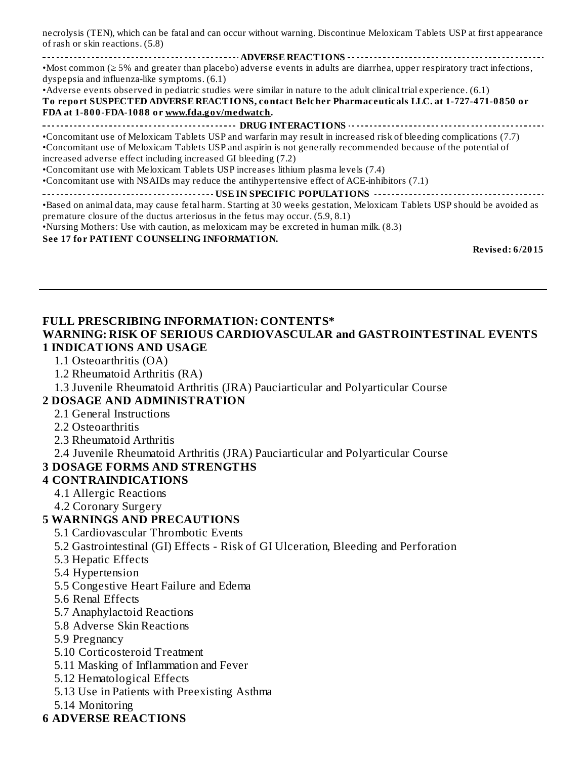necrolysis (TEN), which can be fatal and can occur without warning. Discontinue Meloxicam Tablets USP at first appearance of rash or skin reactions. (5.8) **ADVERSE REACTIONS** •Most common (≥ 5% and greater than placebo) adverse events in adults are diarrhea, upper respiratory tract infections, dyspepsia and influenza-like symptoms. (6.1) •Adverse events observed in pediatric studies were similar in nature to the adult clinical trial experience. (6.1) **To report SUSPECTED ADVERSE REACTIONS, contact Belcher Pharmaceuticals LLC. at 1-727-471-0850 or FDA at 1-800-FDA-1088 or www.fda.gov/medwatch. DRUG INTERACTIONS** •Concomitant use of Meloxicam Tablets USP and warfarin may result in increased risk of bleeding complications (7.7) •Concomitant use of Meloxicam Tablets USP and aspirin is not generally recommended because of the potential of increased adverse effect including increased GI bleeding (7.2) •Concomitant use with Meloxicam Tablets USP increases lithium plasma levels (7.4) •Concomitant use with NSAIDs may reduce the antihypertensive effect of ACE-inhibitors (7.1) **USE IN SPECIFIC POPULATIONS** •Based on animal data, may cause fetal harm. Starting at 30 weeks gestation, Meloxicam Tablets USP should be avoided as premature closure of the ductus arteriosus in the fetus may occur. (5.9, 8.1) •Nursing Mothers: Use with caution, as meloxicam may be excreted in human milk. (8.3) **See 17 for PATIENT COUNSELING INFORMATION.**

**Revised: 6/2015**

#### **FULL PRESCRIBING INFORMATION: CONTENTS\***

#### **WARNING: RISK OF SERIOUS CARDIOVASCULAR and GASTROINTESTINAL EVENTS 1 INDICATIONS AND USAGE**

- 1.1 Osteoarthritis (OA)
- 1.2 Rheumatoid Arthritis (RA)
- 1.3 Juvenile Rheumatoid Arthritis (JRA) Pauciarticular and Polyarticular Course

#### **2 DOSAGE AND ADMINISTRATION**

- 2.1 General Instructions
- 2.2 Osteoarthritis
- 2.3 Rheumatoid Arthritis
- 2.4 Juvenile Rheumatoid Arthritis (JRA) Pauciarticular and Polyarticular Course

#### **3 DOSAGE FORMS AND STRENGTHS**

#### **4 CONTRAINDICATIONS**

- 4.1 Allergic Reactions
- 4.2 Coronary Surgery

#### **5 WARNINGS AND PRECAUTIONS**

5.1 Cardiovascular Thrombotic Events

- 5.2 Gastrointestinal (GI) Effects Risk of GI Ulceration, Bleeding and Perforation
- 5.3 Hepatic Effects
- 5.4 Hypertension
- 5.5 Congestive Heart Failure and Edema
- 5.6 Renal Effects
- 5.7 Anaphylactoid Reactions
- 5.8 Adverse Skin Reactions
- 5.9 Pregnancy
- 5.10 Corticosteroid Treatment
- 5.11 Masking of Inflammation and Fever
- 5.12 Hematological Effects
- 5.13 Use in Patients with Preexisting Asthma
- 5.14 Monitoring

#### **6 ADVERSE REACTIONS**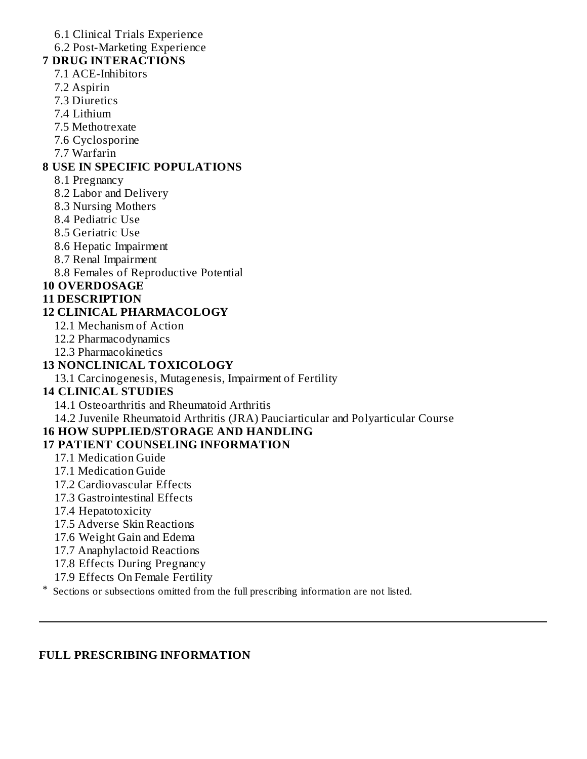#### 6.1 Clinical Trials Experience

6.2 Post-Marketing Experience

# **7 DRUG INTERACTIONS**

- 7.1 ACE-Inhibitors
- 7.2 Aspirin
- 7.3 Diuretics
- 7.4 Lithium
- 7.5 Methotrexate
- 7.6 Cyclosporine
- 7.7 Warfarin

## **8 USE IN SPECIFIC POPULATIONS**

- 8.1 Pregnancy
- 8.2 Labor and Delivery
- 8.3 Nursing Mothers
- 8.4 Pediatric Use
- 8.5 Geriatric Use
- 8.6 Hepatic Impairment
- 8.7 Renal Impairment
- 8.8 Females of Reproductive Potential

# **10 OVERDOSAGE**

## **11 DESCRIPTION**

## **12 CLINICAL PHARMACOLOGY**

- 12.1 Mechanism of Action
- 12.2 Pharmacodynamics
- 12.3 Pharmacokinetics

# **13 NONCLINICAL TOXICOLOGY**

13.1 Carcinogenesis, Mutagenesis, Impairment of Fertility

## **14 CLINICAL STUDIES**

14.1 Osteoarthritis and Rheumatoid Arthritis

14.2 Juvenile Rheumatoid Arthritis (JRA) Pauciarticular and Polyarticular Course

## **16 HOW SUPPLIED/STORAGE AND HANDLING**

# **17 PATIENT COUNSELING INFORMATION**

- 17.1 Medication Guide
- 17.1 Medication Guide
- 17.2 Cardiovascular Effects
- 17.3 Gastrointestinal Effects
- 17.4 Hepatotoxicity
- 17.5 Adverse Skin Reactions
- 17.6 Weight Gain and Edema
- 17.7 Anaphylactoid Reactions
- 17.8 Effects During Pregnancy
- 17.9 Effects On Female Fertility
- \* Sections or subsections omitted from the full prescribing information are not listed.

## **FULL PRESCRIBING INFORMATION**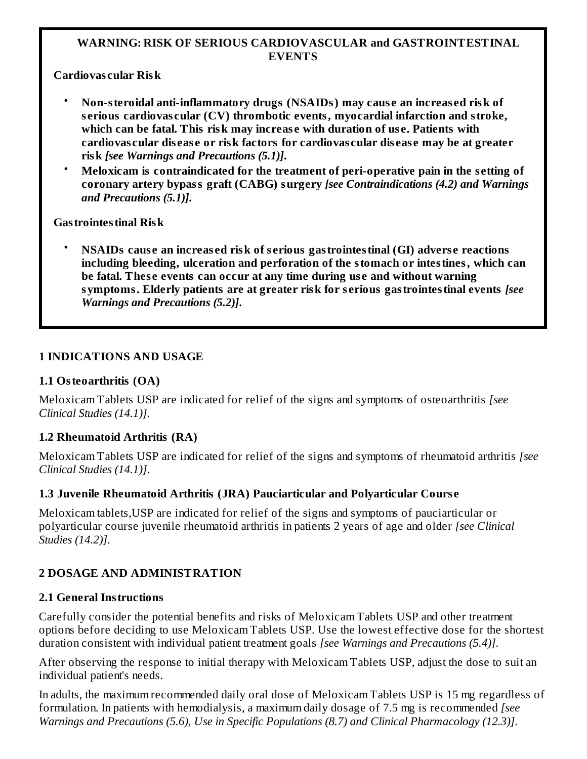#### **WARNING: RISK OF SERIOUS CARDIOVASCULAR and GASTROINTESTINAL EVENTS**

**Cardiovas cular Risk**

- **Non-steroidal anti-inflammatory drugs (NSAIDs) may caus e an increas ed risk of s erious cardiovas cular (CV) thrombotic events, myocardial infarction and stroke, which can be fatal. This risk may increas e with duration of us e. Patients with cardiovas cular dis eas e or risk factors for cardiovas cular dis eas e may be at greater risk** *[see Warnings and Precautions (5.1)]***.**
- **Meloxicam is contraindicated for the treatment of peri-operative pain in the s etting of coronary artery bypass graft (CABG) surgery** *[see Contraindications (4.2) and Warnings and Precautions (5.1)]***.**

**Gastrointestinal Risk**

• **NSAIDs caus e an increas ed risk of s erious gastrointestinal (GI) advers e reactions including bleeding, ulceration and perforation of the stomach or intestines, which can be fatal. Thes e events can occur at any time during us e and without warning symptoms. Elderly patients are at greater risk for s erious gastrointestinal events** *[see Warnings and Precautions (5.2)]***.**

# **1 INDICATIONS AND USAGE**

## **1.1 Osteoarthritis (OA)**

Meloxicam Tablets USP are indicated for relief of the signs and symptoms of osteoarthritis *[see Clinical Studies (14.1)]*.

## **1.2 Rheumatoid Arthritis (RA)**

Meloxicam Tablets USP are indicated for relief of the signs and symptoms of rheumatoid arthritis *[see Clinical Studies (14.1)]*.

## **1.3 Juvenile Rheumatoid Arthritis (JRA) Pauciarticular and Polyarticular Cours e**

Meloxicam tablets,USP are indicated for relief of the signs and symptoms of pauciarticular or polyarticular course juvenile rheumatoid arthritis in patients 2 years of age and older *[see Clinical Studies (14.2)]*.

# **2 DOSAGE AND ADMINISTRATION**

## **2.1 General Instructions**

Carefully consider the potential benefits and risks of Meloxicam Tablets USP and other treatment options before deciding to use Meloxicam Tablets USP. Use the lowest effective dose for the shortest duration consistent with individual patient treatment goals *[see Warnings and Precautions (5.4)]*.

After observing the response to initial therapy with Meloxicam Tablets USP, adjust the dose to suit an individual patient's needs.

In adults, the maximum recommended daily oral dose of Meloxicam Tablets USP is 15 mg regardless of formulation. In patients with hemodialysis, a maximum daily dosage of 7.5 mg is recommended *[see Warnings and Precautions (5.6), Use in Specific Populations (8.7) and Clinical Pharmacology (12.3)]*.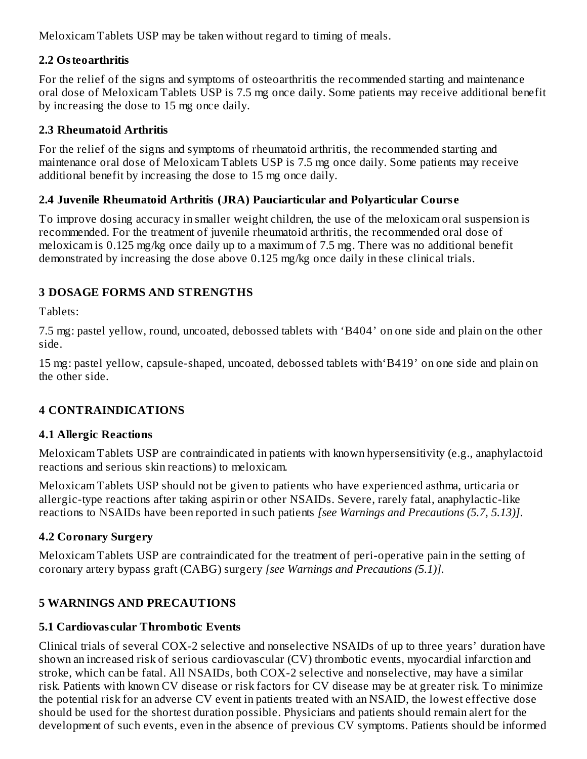Meloxicam Tablets USP may be taken without regard to timing of meals.

# **2.2 Osteoarthritis**

For the relief of the signs and symptoms of osteoarthritis the recommended starting and maintenance oral dose of Meloxicam Tablets USP is 7.5 mg once daily. Some patients may receive additional benefit by increasing the dose to 15 mg once daily.

# **2.3 Rheumatoid Arthritis**

For the relief of the signs and symptoms of rheumatoid arthritis, the recommended starting and maintenance oral dose of Meloxicam Tablets USP is 7.5 mg once daily. Some patients may receive additional benefit by increasing the dose to 15 mg once daily.

# **2.4 Juvenile Rheumatoid Arthritis (JRA) Pauciarticular and Polyarticular Cours e**

To improve dosing accuracy in smaller weight children, the use of the meloxicam oral suspension is recommended. For the treatment of juvenile rheumatoid arthritis, the recommended oral dose of meloxicam is 0.125 mg/kg once daily up to a maximum of 7.5 mg. There was no additional benefit demonstrated by increasing the dose above 0.125 mg/kg once daily in these clinical trials.

# **3 DOSAGE FORMS AND STRENGTHS**

Tablets:

7.5 mg: pastel yellow, round, uncoated, debossed tablets with 'B404' on one side and plain on the other side.

15 mg: pastel yellow, capsule-shaped, uncoated, debossed tablets with'B419' on one side and plain on the other side.

# **4 CONTRAINDICATIONS**

## **4.1 Allergic Reactions**

Meloxicam Tablets USP are contraindicated in patients with known hypersensitivity (e.g., anaphylactoid reactions and serious skin reactions) to meloxicam.

Meloxicam Tablets USP should not be given to patients who have experienced asthma, urticaria or allergic-type reactions after taking aspirin or other NSAIDs. Severe, rarely fatal, anaphylactic-like reactions to NSAIDs have been reported in such patients *[see Warnings and Precautions (5.7, 5.13)]*.

# **4.2 Coronary Surgery**

Meloxicam Tablets USP are contraindicated for the treatment of peri-operative pain in the setting of coronary artery bypass graft (CABG) surgery *[see Warnings and Precautions (5.1)]*.

# **5 WARNINGS AND PRECAUTIONS**

# **5.1 Cardiovas cular Thrombotic Events**

Clinical trials of several COX-2 selective and nonselective NSAIDs of up to three years' duration have shown an increased risk of serious cardiovascular (CV) thrombotic events, myocardial infarction and stroke, which can be fatal. All NSAIDs, both COX-2 selective and nonselective, may have a similar risk. Patients with known CV disease or risk factors for CV disease may be at greater risk. To minimize the potential risk for an adverse CV event in patients treated with an NSAID, the lowest effective dose should be used for the shortest duration possible. Physicians and patients should remain alert for the development of such events, even in the absence of previous CV symptoms. Patients should be informed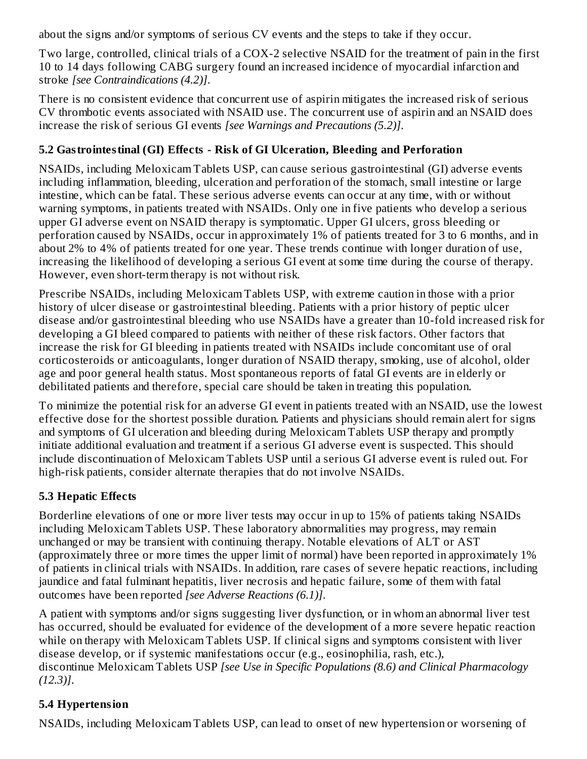about the signs and/or symptoms of serious CV events and the steps to take if they occur.

Two large, controlled, clinical trials of a COX-2 selective NSAID for the treatment of pain in the first 10 to 14 days following CABG surgery found an increased incidence of myocardial infarction and stroke *[see Contraindications (4.2)]*.

There is no consistent evidence that concurrent use of aspirin mitigates the increased risk of serious CV thrombotic events associated with NSAID use. The concurrent use of aspirin and an NSAID does increase the risk of serious GI events *[see Warnings and Precautions (5.2)]*.

#### **5.2 Gastrointestinal (GI) Effects - Risk of GI Ulceration, Bleeding and Perforation**

NSAIDs, including Meloxicam Tablets USP, can cause serious gastrointestinal (GI) adverse events including inflammation, bleeding, ulceration and perforation of the stomach, small intestine or large intestine, which can be fatal. These serious adverse events can occur at any time, with or without warning symptoms, in patients treated with NSAIDs. Only one in five patients who develop a serious upper GI adverse event on NSAID therapy is symptomatic. Upper GI ulcers, gross bleeding or perforation caused by NSAIDs, occur in approximately 1% of patients treated for 3 to 6 months, and in about 2% to 4% of patients treated for one year. These trends continue with longer duration of use, increasing the likelihood of developing a serious GI event at some time during the course of therapy. However, even short-term therapy is not without risk.

Prescribe NSAIDs, including Meloxicam Tablets USP, with extreme caution in those with a prior history of ulcer disease or gastrointestinal bleeding. Patients with a prior history of peptic ulcer disease and/or gastrointestinal bleeding who use NSAIDs have a greater than 10-fold increased risk for developing a GI bleed compared to patients with neither of these risk factors. Other factors that increase the risk for GI bleeding in patients treated with NSAIDs include concomitant use of oral corticosteroids or anticoagulants, longer duration of NSAID therapy, smoking, use of alcohol, older age and poor general health status. Most spontaneous reports of fatal GI events are in elderly or debilitated patients and therefore, special care should be taken in treating this population.

To minimize the potential risk for an adverse GI event in patients treated with an NSAID, use the lowest effective dose for the shortest possible duration. Patients and physicians should remain alert for signs and symptoms of GI ulceration and bleeding during Meloxicam Tablets USP therapy and promptly initiate additional evaluation and treatment if a serious GI adverse event is suspected. This should include discontinuation of Meloxicam Tablets USP until a serious GI adverse event is ruled out. For high-risk patients, consider alternate therapies that do not involve NSAIDs.

## **5.3 Hepatic Effects**

Borderline elevations of one or more liver tests may occur in up to 15% of patients taking NSAIDs including Meloxicam Tablets USP. These laboratory abnormalities may progress, may remain unchanged or may be transient with continuing therapy. Notable elevations of ALT or AST (approximately three or more times the upper limit of normal) have been reported in approximately 1% of patients in clinical trials with NSAIDs. In addition, rare cases of severe hepatic reactions, including jaundice and fatal fulminant hepatitis, liver necrosis and hepatic failure, some of them with fatal outcomes have been reported *[see Adverse Reactions (6.1)]*.

A patient with symptoms and/or signs suggesting liver dysfunction, or in whom an abnormal liver test has occurred, should be evaluated for evidence of the development of a more severe hepatic reaction while on therapy with Meloxicam Tablets USP. If clinical signs and symptoms consistent with liver disease develop, or if systemic manifestations occur (e.g., eosinophilia, rash, etc.), discontinue Meloxicam Tablets USP *[see Use in Specific Populations (8.6) and Clinical Pharmacology (12.3)]*.

## **5.4 Hypertension**

NSAIDs, including Meloxicam Tablets USP, can lead to onset of new hypertension or worsening of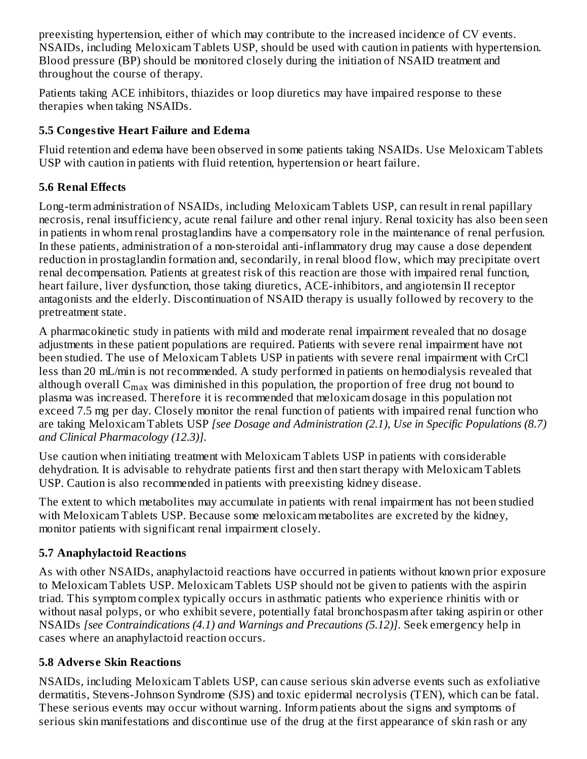preexisting hypertension, either of which may contribute to the increased incidence of CV events. NSAIDs, including Meloxicam Tablets USP, should be used with caution in patients with hypertension. Blood pressure (BP) should be monitored closely during the initiation of NSAID treatment and throughout the course of therapy.

Patients taking ACE inhibitors, thiazides or loop diuretics may have impaired response to these therapies when taking NSAIDs.

# **5.5 Congestive Heart Failure and Edema**

Fluid retention and edema have been observed in some patients taking NSAIDs. Use Meloxicam Tablets USP with caution in patients with fluid retention, hypertension or heart failure.

# **5.6 Renal Effects**

Long-term administration of NSAIDs, including Meloxicam Tablets USP, can result in renal papillary necrosis, renal insufficiency, acute renal failure and other renal injury. Renal toxicity has also been seen in patients in whom renal prostaglandins have a compensatory role in the maintenance of renal perfusion. In these patients, administration of a non-steroidal anti-inflammatory drug may cause a dose dependent reduction in prostaglandin formation and, secondarily, in renal blood flow, which may precipitate overt renal decompensation. Patients at greatest risk of this reaction are those with impaired renal function, heart failure, liver dysfunction, those taking diuretics, ACE-inhibitors, and angiotensin II receptor antagonists and the elderly. Discontinuation of NSAID therapy is usually followed by recovery to the pretreatment state.

A pharmacokinetic study in patients with mild and moderate renal impairment revealed that no dosage adjustments in these patient populations are required. Patients with severe renal impairment have not been studied. The use of Meloxicam Tablets USP in patients with severe renal impairment with CrCl less than 20 mL/min is not recommended. A study performed in patients on hemodialysis revealed that although overall  $\mathsf{C}_{\max}$  was diminished in this population, the proportion of free drug not bound to plasma was increased. Therefore it is recommended that meloxicam dosage in this population not exceed 7.5 mg per day. Closely monitor the renal function of patients with impaired renal function who are taking Meloxicam Tablets USP *[see Dosage and Administration (2.1), Use in Specific Populations (8.7) and Clinical Pharmacology (12.3)]*.

Use caution when initiating treatment with Meloxicam Tablets USP in patients with considerable dehydration. It is advisable to rehydrate patients first and then start therapy with Meloxicam Tablets USP. Caution is also recommended in patients with preexisting kidney disease.

The extent to which metabolites may accumulate in patients with renal impairment has not been studied with Meloxicam Tablets USP. Because some meloxicam metabolites are excreted by the kidney, monitor patients with significant renal impairment closely.

# **5.7 Anaphylactoid Reactions**

As with other NSAIDs, anaphylactoid reactions have occurred in patients without known prior exposure to Meloxicam Tablets USP. Meloxicam Tablets USP should not be given to patients with the aspirin triad. This symptom complex typically occurs in asthmatic patients who experience rhinitis with or without nasal polyps, or who exhibit severe, potentially fatal bronchospasm after taking aspirin or other NSAIDs *[see Contraindications (4.1) and Warnings and Precautions (5.12)]*. Seek emergency help in cases where an anaphylactoid reaction occurs.

## **5.8 Advers e Skin Reactions**

NSAIDs, including Meloxicam Tablets USP, can cause serious skin adverse events such as exfoliative dermatitis, Stevens-Johnson Syndrome (SJS) and toxic epidermal necrolysis (TEN), which can be fatal. These serious events may occur without warning. Inform patients about the signs and symptoms of serious skin manifestations and discontinue use of the drug at the first appearance of skin rash or any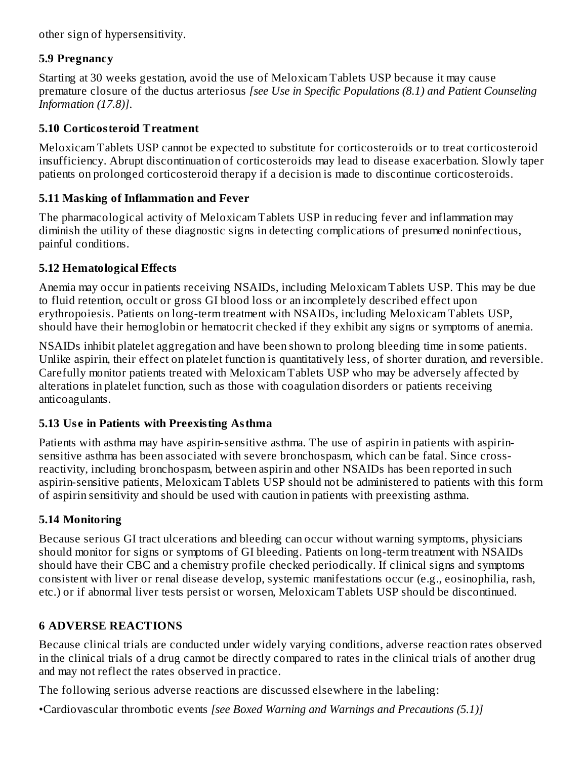other sign of hypersensitivity.

## **5.9 Pregnancy**

Starting at 30 weeks gestation, avoid the use of Meloxicam Tablets USP because it may cause premature closure of the ductus arteriosus *[see Use in Specific Populations (8.1) and Patient Counseling Information (17.8)]*.

## **5.10 Corticosteroid Treatment**

Meloxicam Tablets USP cannot be expected to substitute for corticosteroids or to treat corticosteroid insufficiency. Abrupt discontinuation of corticosteroids may lead to disease exacerbation. Slowly taper patients on prolonged corticosteroid therapy if a decision is made to discontinue corticosteroids.

# **5.11 Masking of Inflammation and Fever**

The pharmacological activity of Meloxicam Tablets USP in reducing fever and inflammation may diminish the utility of these diagnostic signs in detecting complications of presumed noninfectious, painful conditions.

# **5.12 Hematological Effects**

Anemia may occur in patients receiving NSAIDs, including Meloxicam Tablets USP. This may be due to fluid retention, occult or gross GI blood loss or an incompletely described effect upon erythropoiesis. Patients on long-term treatment with NSAIDs, including Meloxicam Tablets USP, should have their hemoglobin or hematocrit checked if they exhibit any signs or symptoms of anemia.

NSAIDs inhibit platelet aggregation and have been shown to prolong bleeding time in some patients. Unlike aspirin, their effect on platelet function is quantitatively less, of shorter duration, and reversible. Carefully monitor patients treated with Meloxicam Tablets USP who may be adversely affected by alterations in platelet function, such as those with coagulation disorders or patients receiving anticoagulants.

# **5.13 Us e in Patients with Preexisting Asthma**

Patients with asthma may have aspirin-sensitive asthma. The use of aspirin in patients with aspirinsensitive asthma has been associated with severe bronchospasm, which can be fatal. Since crossreactivity, including bronchospasm, between aspirin and other NSAIDs has been reported in such aspirin-sensitive patients, Meloxicam Tablets USP should not be administered to patients with this form of aspirin sensitivity and should be used with caution in patients with preexisting asthma.

# **5.14 Monitoring**

Because serious GI tract ulcerations and bleeding can occur without warning symptoms, physicians should monitor for signs or symptoms of GI bleeding. Patients on long-term treatment with NSAIDs should have their CBC and a chemistry profile checked periodically. If clinical signs and symptoms consistent with liver or renal disease develop, systemic manifestations occur (e.g., eosinophilia, rash, etc.) or if abnormal liver tests persist or worsen, Meloxicam Tablets USP should be discontinued.

# **6 ADVERSE REACTIONS**

Because clinical trials are conducted under widely varying conditions, adverse reaction rates observed in the clinical trials of a drug cannot be directly compared to rates in the clinical trials of another drug and may not reflect the rates observed in practice.

The following serious adverse reactions are discussed elsewhere in the labeling:

•Cardiovascular thrombotic events *[see Boxed Warning and Warnings and Precautions (5.1)]*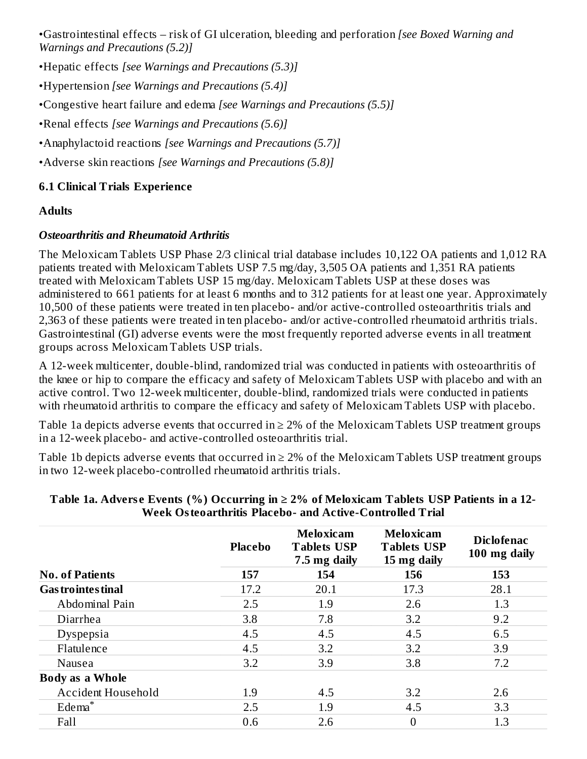•Gastrointestinal effects – risk of GI ulceration, bleeding and perforation *[see Boxed Warning and Warnings and Precautions (5.2)]*

•Hepatic effects *[see Warnings and Precautions (5.3)]*

- •Hypertension *[see Warnings and Precautions (5.4)]*
- •Congestive heart failure and edema *[see Warnings and Precautions (5.5)]*
- •Renal effects *[see Warnings and Precautions (5.6)]*
- •Anaphylactoid reactions *[see Warnings and Precautions (5.7)]*
- •Adverse skin reactions *[see Warnings and Precautions (5.8)]*

# **6.1 Clinical Trials Experience**

# **Adults**

# *Osteoarthritis and Rheumatoid Arthritis*

The Meloxicam Tablets USP Phase 2/3 clinical trial database includes 10,122 OA patients and 1,012 RA patients treated with Meloxicam Tablets USP 7.5 mg/day, 3,505 OA patients and 1,351 RA patients treated with Meloxicam Tablets USP 15 mg/day. Meloxicam Tablets USP at these doses was administered to 661 patients for at least 6 months and to 312 patients for at least one year. Approximately 10,500 of these patients were treated in ten placebo- and/or active-controlled osteoarthritis trials and 2,363 of these patients were treated in ten placebo- and/or active-controlled rheumatoid arthritis trials. Gastrointestinal (GI) adverse events were the most frequently reported adverse events in all treatment groups across Meloxicam Tablets USP trials.

A 12-week multicenter, double-blind, randomized trial was conducted in patients with osteoarthritis of the knee or hip to compare the efficacy and safety of Meloxicam Tablets USP with placebo and with an active control. Two 12-week multicenter, double-blind, randomized trials were conducted in patients with rheumatoid arthritis to compare the efficacy and safety of Meloxicam Tablets USP with placebo.

Table 1a depicts adverse events that occurred in  $\geq 2\%$  of the Meloxicam Tablets USP treatment groups in a 12-week placebo- and active-controlled osteoarthritis trial.

Table 1b depicts adverse events that occurred in  $\geq 2\%$  of the Meloxicam Tablets USP treatment groups in two 12-week placebo-controlled rheumatoid arthritis trials.

|                           | <b>Placebo</b> | <b>Meloxicam</b><br><b>Tablets USP</b><br>7.5 mg daily |                | <b>Diclofenac</b><br>100 mg daily |  |
|---------------------------|----------------|--------------------------------------------------------|----------------|-----------------------------------|--|
| <b>No. of Patients</b>    | 157            | 154                                                    | 156            | 153                               |  |
| <b>Gas trointes tinal</b> | 17.2           | 20.1                                                   | 17.3           | 28.1                              |  |
| Abdominal Pain            | 2.5            | 1.9                                                    | 2.6            | 1.3                               |  |
| Diarrhea                  | 3.8            | 7.8                                                    | 3.2            | 9.2                               |  |
| Dyspepsia                 | 4.5            | 4.5                                                    | 4.5            | 6.5                               |  |
| Flatulence                | 4.5            | 3.2                                                    | 3.2            | 3.9                               |  |
| Nausea                    | 3.2            | 3.9                                                    | 3.8            | 7.2                               |  |
| <b>Body as a Whole</b>    |                |                                                        |                |                                   |  |
| <b>Accident Household</b> | 1.9            | 4.5                                                    | 3.2            | 2.6                               |  |
| $Edema*$                  | 2.5            | 1.9                                                    | 4.5            | 3.3                               |  |
| Fall                      | 0.6            | 2.6                                                    | $\overline{0}$ | 1.3                               |  |

#### **Table 1a. Advers e Events (%) Occurring in ≥ 2% of Meloxicam Tablets USP Patients in a 12- Week Osteoarthritis Placebo- and Active-Controlled Trial**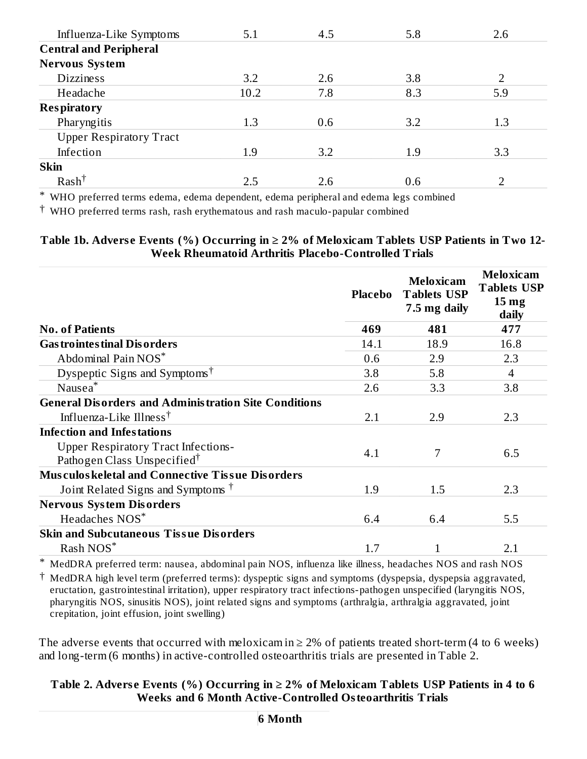| Influenza-Like Symptoms        | 5.1  | 4.5 | 5.8 | 2.6 |
|--------------------------------|------|-----|-----|-----|
| <b>Central and Peripheral</b>  |      |     |     |     |
| <b>Nervous System</b>          |      |     |     |     |
| <b>Dizziness</b>               | 3.2  | 2.6 | 3.8 | 2   |
| Headache                       | 10.2 | 7.8 | 8.3 | 5.9 |
| <b>Respiratory</b>             |      |     |     |     |
| Pharyngitis                    | 1.3  | 0.6 | 3.2 | 1.3 |
| <b>Upper Respiratory Tract</b> |      |     |     |     |
| Infection                      | 1.9  | 3.2 | 1.9 | 3.3 |
| <b>Skin</b>                    |      |     |     |     |
| Rash <sup>†</sup>              | 2.5  | 2.6 | 0.6 |     |

\* WHO preferred terms edema, edema dependent, edema peripheral and edema legs combined

† WHO preferred terms rash, rash erythematous and rash maculo-papular combined

#### **Table 1b. Advers e Events (%) Occurring in ≥ 2% of Meloxicam Tablets USP Patients in Two 12- Week Rheumatoid Arthritis Placebo-Controlled Trials**

|                                                                                       | <b>Placebo</b> | Meloxicam<br><b>Tablets USP</b><br>7.5 mg daily | Meloxicam<br><b>Tablets USP</b><br>15 <sub>mg</sub><br>daily |
|---------------------------------------------------------------------------------------|----------------|-------------------------------------------------|--------------------------------------------------------------|
| <b>No. of Patients</b>                                                                | 469            | 481                                             | 477                                                          |
| <b>Gastrointestinal Disorders</b>                                                     | 14.1           | 18.9                                            | 16.8                                                         |
| Abdominal Pain NOS*                                                                   | 0.6            | 2.9                                             | 2.3                                                          |
| Dyspeptic Signs and Symptoms <sup>†</sup>                                             | 3.8            | 5.8                                             | $\overline{4}$                                               |
| Nausea <sup>*</sup>                                                                   | 2.6            | 3.3                                             | 3.8                                                          |
| <b>General Disorders and Administration Site Conditions</b>                           |                |                                                 |                                                              |
| Influenza-Like Illness <sup>†</sup>                                                   | 2.1            | 2.9                                             | 2.3                                                          |
| <b>Infection and Infestations</b>                                                     |                |                                                 |                                                              |
| <b>Upper Respiratory Tract Infections-</b><br>Pathogen Class Unspecified <sup>†</sup> | 4.1            | 7                                               | 6.5                                                          |
| <b>Musculoskeletal and Connective Tissue Disorders</b>                                |                |                                                 |                                                              |
| Joint Related Signs and Symptoms <sup>†</sup>                                         | 1.9            | 1.5                                             | 2.3                                                          |
| <b>Nervous System Disorders</b>                                                       |                |                                                 |                                                              |
| Headaches NOS*                                                                        | 6.4            | 6.4                                             | 5.5                                                          |
| <b>Skin and Subcutaneous Tissue Disorders</b>                                         |                |                                                 |                                                              |
| Rash NOS*                                                                             | 1.7            |                                                 | 2.1                                                          |

\* MedDRA preferred term: nausea, abdominal pain NOS, influenza like illness, headaches NOS and rash NOS

 $^\dagger$  MedDRA high level term (preferred terms): dyspeptic signs and symptoms (dyspepsia, dyspepsia aggravated, eructation, gastrointestinal irritation), upper respiratory tract infections-pathogen unspecified (laryngitis NOS, pharyngitis NOS, sinusitis NOS), joint related signs and symptoms (arthralgia, arthralgia aggravated, joint crepitation, joint effusion, joint swelling)

The adverse events that occurred with meloxicam in  $\geq 2\%$  of patients treated short-term (4 to 6 weeks) and long-term (6 months) in active-controlled osteoarthritis trials are presented in Table 2.

#### **Table** 2. Adverse Events (%) Occurring in  $\geq$  2% of Meloxicam Tablets USP Patients in 4 to 6 **Weeks and 6 Month Active-Controlled Osteoarthritis Trials**

#### **6 Month**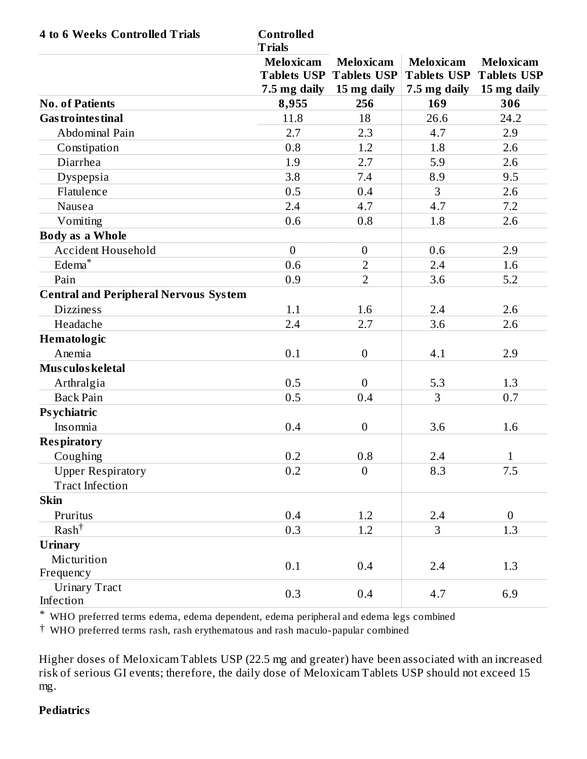| <b>4 to 6 Weeks Controlled Trials</b>        | Controlled<br><b>Trials</b> |                                |                  |                                |
|----------------------------------------------|-----------------------------|--------------------------------|------------------|--------------------------------|
|                                              | <b>Meloxicam</b>            | <b>Meloxicam</b>               | <b>Meloxicam</b> | <b>Meloxicam</b>               |
|                                              |                             | <b>Tablets USP Tablets USP</b> |                  | <b>Tablets USP Tablets USP</b> |
|                                              | 7.5 mg daily                | 15 mg daily                    | 7.5 mg daily     | 15 mg daily                    |
| <b>No. of Patients</b>                       | 8,955                       | 256                            | 169              | 306                            |
| <b>Gas trointes tinal</b>                    | 11.8                        | 18                             | 26.6             | 24.2                           |
| Abdominal Pain                               | 2.7                         | 2.3                            | 4.7              | 2.9                            |
| Constipation                                 | 0.8                         | 1.2                            | 1.8              | 2.6                            |
| Diarrhea                                     | 1.9                         | 2.7                            | 5.9              | 2.6                            |
| Dyspepsia                                    | 3.8                         | 7.4                            | 8.9              | 9.5                            |
| Flatulence                                   | 0.5                         | 0.4                            | 3                | 2.6                            |
| Nausea                                       | 2.4                         | 4.7                            | 4.7              | 7.2                            |
| Vomiting                                     | 0.6                         | 0.8                            | 1.8              | 2.6                            |
| <b>Body as a Whole</b>                       |                             |                                |                  |                                |
| <b>Accident Household</b>                    | $\boldsymbol{0}$            | $\boldsymbol{0}$               | 0.6              | 2.9                            |
| $\operatorname{Edema}^*$                     | 0.6                         | 2                              | 2.4              | 1.6                            |
| Pain                                         | 0.9                         | $\overline{2}$                 | 3.6              | 5.2                            |
| <b>Central and Peripheral Nervous System</b> |                             |                                |                  |                                |
| <b>Dizziness</b>                             | 1.1                         | 1.6                            | 2.4              | 2.6                            |
| Headache                                     | 2.4                         | 2.7                            | 3.6              | 2.6                            |
| Hematologic                                  |                             |                                |                  |                                |
| Anemia                                       | 0.1                         | $\boldsymbol{0}$               | 4.1              | 2.9                            |
| Musculos keletal                             |                             |                                |                  |                                |
| Arthralgia                                   | 0.5                         | $\overline{0}$                 | 5.3              | 1.3                            |
| <b>Back Pain</b>                             | 0.5                         | 0.4                            | 3                | 0.7                            |
| <b>Psychiatric</b>                           |                             |                                |                  |                                |
| Insomnia                                     | 0.4                         | $\boldsymbol{0}$               | 3.6              | 1.6                            |
| <b>Respiratory</b>                           |                             |                                |                  |                                |
| Coughing                                     | 0.2                         | $0.8\,$                        | 2.4              | $\mathbf{1}$                   |
| <b>Upper Respiratory</b>                     | 0.2                         | $\overline{0}$                 | 8.3              | 7.5                            |
| <b>Tract Infection</b>                       |                             |                                |                  |                                |
| <b>Skin</b>                                  |                             |                                |                  |                                |
| Pruritus                                     | 0.4                         | 1.2                            | 2.4              | $\boldsymbol{0}$               |
| Rash <sup>†</sup>                            | 0.3                         | 1.2                            | 3                | 1.3                            |
| <b>Urinary</b>                               |                             |                                |                  |                                |
| Micturition                                  |                             |                                |                  |                                |
| Frequency                                    | 0.1                         | 0.4                            | 2.4              | 1.3                            |
| <b>Urinary Tract</b>                         | 0.3                         | 0.4                            | 4.7              | 6.9                            |
| Infection                                    |                             |                                |                  |                                |

\* WHO preferred terms edema, edema dependent, edema peripheral and edema legs combined

† WHO preferred terms rash, rash erythematous and rash maculo-papular combined

Higher doses of Meloxicam Tablets USP (22.5 mg and greater) have been associated with an increased risk of serious GI events; therefore, the daily dose of Meloxicam Tablets USP should not exceed 15 mg.

#### **Pediatrics**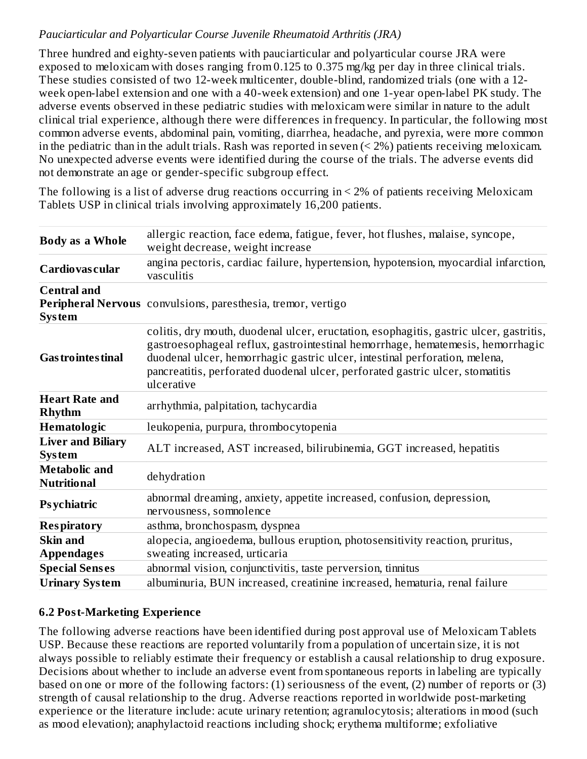#### *Pauciarticular and Polyarticular Course Juvenile Rheumatoid Arthritis (JRA)*

Three hundred and eighty-seven patients with pauciarticular and polyarticular course JRA were exposed to meloxicam with doses ranging from 0.125 to 0.375 mg/kg per day in three clinical trials. These studies consisted of two 12-week multicenter, double-blind, randomized trials (one with a 12 week open-label extension and one with a 40-week extension) and one 1-year open-label PK study. The adverse events observed in these pediatric studies with meloxicam were similar in nature to the adult clinical trial experience, although there were differences in frequency. In particular, the following most common adverse events, abdominal pain, vomiting, diarrhea, headache, and pyrexia, were more common in the pediatric than in the adult trials. Rash was reported in seven (< 2%) patients receiving meloxicam. No unexpected adverse events were identified during the course of the trials. The adverse events did not demonstrate an age or gender-specific subgroup effect.

The following is a list of adverse drug reactions occurring in < 2% of patients receiving Meloxicam Tablets USP in clinical trials involving approximately 16,200 patients.

| allergic reaction, face edema, fatigue, fever, hot flushes, malaise, syncope,<br>weight decrease, weight increase                                                                                                                                                                                                                                     |
|-------------------------------------------------------------------------------------------------------------------------------------------------------------------------------------------------------------------------------------------------------------------------------------------------------------------------------------------------------|
| angina pectoris, cardiac failure, hypertension, hypotension, myocardial infarction,<br>vasculitis                                                                                                                                                                                                                                                     |
| Peripheral Nervous convulsions, paresthesia, tremor, vertigo                                                                                                                                                                                                                                                                                          |
| colitis, dry mouth, duodenal ulcer, eructation, esophagitis, gastric ulcer, gastritis,<br>gastroesophageal reflux, gastrointestinal hemorrhage, hematemesis, hemorrhagic<br>duodenal ulcer, hemorrhagic gastric ulcer, intestinal perforation, melena,<br>pancreatitis, perforated duodenal ulcer, perforated gastric ulcer, stomatitis<br>ulcerative |
| arrhythmia, palpitation, tachycardia                                                                                                                                                                                                                                                                                                                  |
| leukopenia, purpura, thrombocytopenia                                                                                                                                                                                                                                                                                                                 |
| ALT increased, AST increased, bilirubinemia, GGT increased, hepatitis                                                                                                                                                                                                                                                                                 |
| dehydration                                                                                                                                                                                                                                                                                                                                           |
| abnormal dreaming, anxiety, appetite increased, confusion, depression,<br>nervousness, somnolence                                                                                                                                                                                                                                                     |
| asthma, bronchospasm, dyspnea                                                                                                                                                                                                                                                                                                                         |
| alopecia, angioedema, bullous eruption, photosensitivity reaction, pruritus,                                                                                                                                                                                                                                                                          |
| sweating increased, urticaria                                                                                                                                                                                                                                                                                                                         |
| abnormal vision, conjunctivitis, taste perversion, tinnitus                                                                                                                                                                                                                                                                                           |
| albuminuria, BUN increased, creatinine increased, hematuria, renal failure                                                                                                                                                                                                                                                                            |
|                                                                                                                                                                                                                                                                                                                                                       |

#### **6.2 Post-Marketing Experience**

The following adverse reactions have been identified during post approval use of Meloxicam Tablets USP. Because these reactions are reported voluntarily from a population of uncertain size, it is not always possible to reliably estimate their frequency or establish a causal relationship to drug exposure. Decisions about whether to include an adverse event from spontaneous reports in labeling are typically based on one or more of the following factors: (1) seriousness of the event, (2) number of reports or (3) strength of causal relationship to the drug. Adverse reactions reported in worldwide post-marketing experience or the literature include: acute urinary retention; agranulocytosis; alterations in mood (such as mood elevation); anaphylactoid reactions including shock; erythema multiforme; exfoliative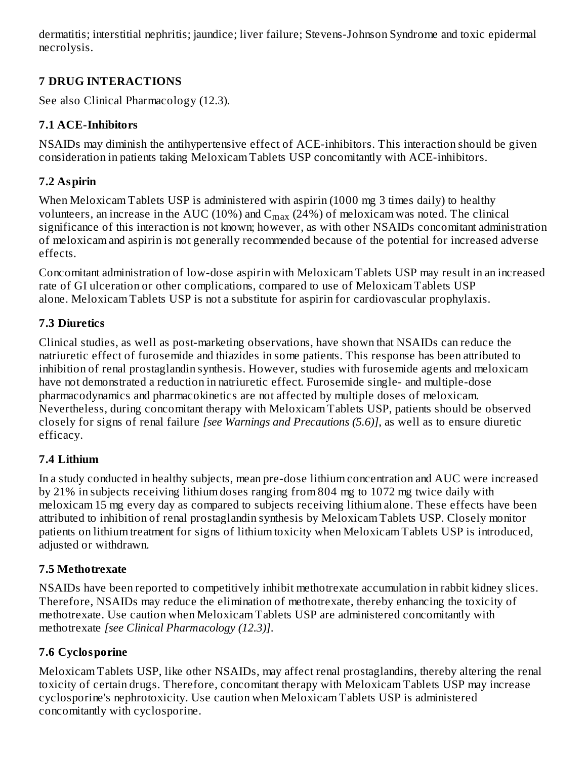dermatitis; interstitial nephritis; jaundice; liver failure; Stevens-Johnson Syndrome and toxic epidermal necrolysis.

# **7 DRUG INTERACTIONS**

See also Clinical Pharmacology (12.3).

# **7.1 ACE-Inhibitors**

NSAIDs may diminish the antihypertensive effect of ACE-inhibitors. This interaction should be given consideration in patients taking Meloxicam Tablets USP concomitantly with ACE-inhibitors.

# **7.2 Aspirin**

When Meloxicam Tablets USP is administered with aspirin (1000 mg 3 times daily) to healthy volunteers, an increase in the AUC (10%) and  $\mathsf{C}_{\max}$  (24%) of meloxicam was noted. The clinical significance of this interaction is not known; however, as with other NSAIDs concomitant administration of meloxicam and aspirin is not generally recommended because of the potential for increased adverse effects.

Concomitant administration of low-dose aspirin with Meloxicam Tablets USP may result in an increased rate of GI ulceration or other complications, compared to use of Meloxicam Tablets USP alone. Meloxicam Tablets USP is not a substitute for aspirin for cardiovascular prophylaxis.

# **7.3 Diuretics**

Clinical studies, as well as post-marketing observations, have shown that NSAIDs can reduce the natriuretic effect of furosemide and thiazides in some patients. This response has been attributed to inhibition of renal prostaglandin synthesis. However, studies with furosemide agents and meloxicam have not demonstrated a reduction in natriuretic effect. Furosemide single- and multiple-dose pharmacodynamics and pharmacokinetics are not affected by multiple doses of meloxicam. Nevertheless, during concomitant therapy with Meloxicam Tablets USP, patients should be observed closely for signs of renal failure *[see Warnings and Precautions (5.6)]*, as well as to ensure diuretic efficacy.

# **7.4 Lithium**

In a study conducted in healthy subjects, mean pre-dose lithium concentration and AUC were increased by 21% in subjects receiving lithium doses ranging from 804 mg to 1072 mg twice daily with meloxicam 15 mg every day as compared to subjects receiving lithium alone. These effects have been attributed to inhibition of renal prostaglandin synthesis by Meloxicam Tablets USP. Closely monitor patients on lithium treatment for signs of lithium toxicity when Meloxicam Tablets USP is introduced, adjusted or withdrawn.

# **7.5 Methotrexate**

NSAIDs have been reported to competitively inhibit methotrexate accumulation in rabbit kidney slices. Therefore, NSAIDs may reduce the elimination of methotrexate, thereby enhancing the toxicity of methotrexate. Use caution when Meloxicam Tablets USP are administered concomitantly with methotrexate *[see Clinical Pharmacology (12.3)]*.

# **7.6 Cyclosporine**

Meloxicam Tablets USP, like other NSAIDs, may affect renal prostaglandins, thereby altering the renal toxicity of certain drugs. Therefore, concomitant therapy with Meloxicam Tablets USP may increase cyclosporine's nephrotoxicity. Use caution when Meloxicam Tablets USP is administered concomitantly with cyclosporine.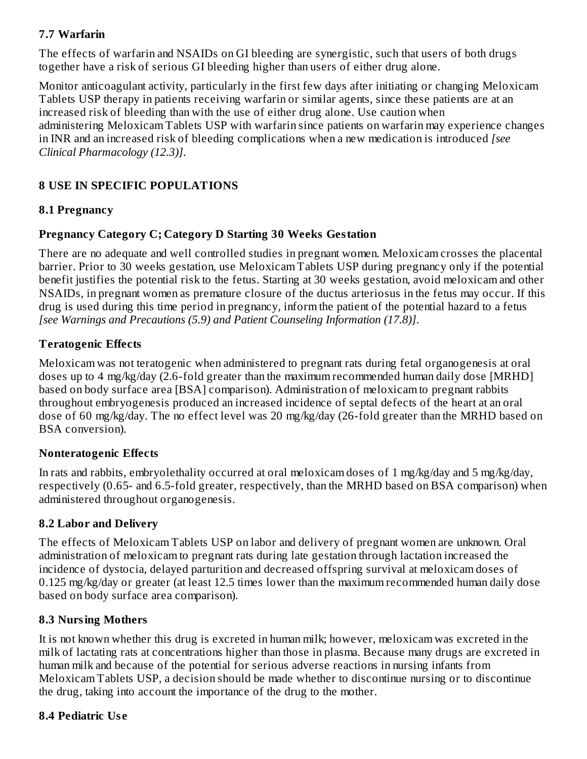## **7.7 Warfarin**

The effects of warfarin and NSAIDs on GI bleeding are synergistic, such that users of both drugs together have a risk of serious GI bleeding higher than users of either drug alone.

Monitor anticoagulant activity, particularly in the first few days after initiating or changing Meloxicam Tablets USP therapy in patients receiving warfarin or similar agents, since these patients are at an increased risk of bleeding than with the use of either drug alone. Use caution when administering Meloxicam Tablets USP with warfarin since patients on warfarin may experience changes in INR and an increased risk of bleeding complications when a new medication is introduced *[see Clinical Pharmacology (12.3)]*.

## **8 USE IN SPECIFIC POPULATIONS**

## **8.1 Pregnancy**

# **Pregnancy Category C; Category D Starting 30 Weeks Gestation**

There are no adequate and well controlled studies in pregnant women. Meloxicam crosses the placental barrier. Prior to 30 weeks gestation, use Meloxicam Tablets USP during pregnancy only if the potential benefit justifies the potential risk to the fetus. Starting at 30 weeks gestation, avoid meloxicam and other NSAIDs, in pregnant women as premature closure of the ductus arteriosus in the fetus may occur. If this drug is used during this time period in pregnancy, inform the patient of the potential hazard to a fetus *[see Warnings and Precautions (5.9) and Patient Counseling Information (17.8)]*.

# **Teratogenic Effects**

Meloxicam was not teratogenic when administered to pregnant rats during fetal organogenesis at oral doses up to 4 mg/kg/day (2.6-fold greater than the maximum recommended human daily dose [MRHD] based on body surface area [BSA] comparison). Administration of meloxicam to pregnant rabbits throughout embryogenesis produced an increased incidence of septal defects of the heart at an oral dose of 60 mg/kg/day. The no effect level was 20 mg/kg/day (26-fold greater than the MRHD based on BSA conversion).

## **Nonteratogenic Effects**

In rats and rabbits, embryolethality occurred at oral meloxicam doses of 1 mg/kg/day and 5 mg/kg/day, respectively (0.65- and 6.5-fold greater, respectively, than the MRHD based on BSA comparison) when administered throughout organogenesis.

# **8.2 Labor and Delivery**

The effects of Meloxicam Tablets USP on labor and delivery of pregnant women are unknown. Oral administration of meloxicam to pregnant rats during late gestation through lactation increased the incidence of dystocia, delayed parturition and decreased offspring survival at meloxicam doses of 0.125 mg/kg/day or greater (at least 12.5 times lower than the maximum recommended human daily dose based on body surface area comparison).

# **8.3 Nursing Mothers**

It is not known whether this drug is excreted in human milk; however, meloxicam was excreted in the milk of lactating rats at concentrations higher than those in plasma. Because many drugs are excreted in human milk and because of the potential for serious adverse reactions in nursing infants from Meloxicam Tablets USP, a decision should be made whether to discontinue nursing or to discontinue the drug, taking into account the importance of the drug to the mother.

# **8.4 Pediatric Us e**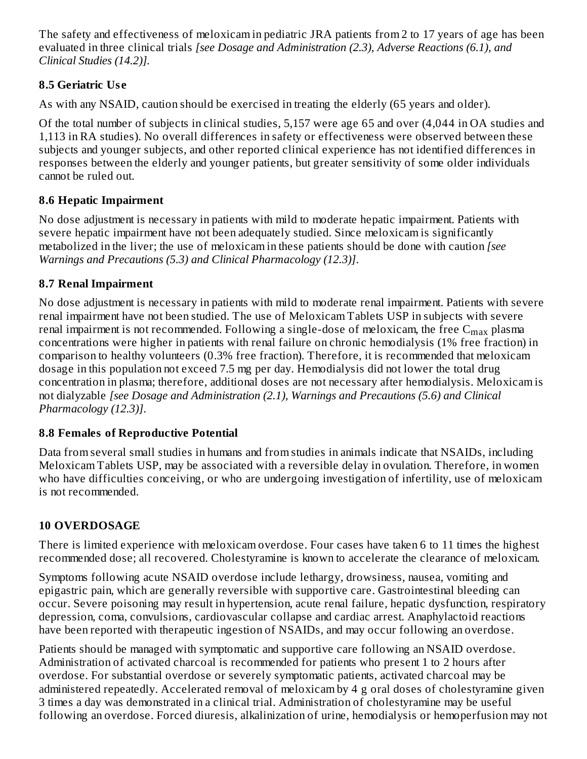The safety and effectiveness of meloxicam in pediatric JRA patients from 2 to 17 years of age has been evaluated in three clinical trials *[see Dosage and Administration (2.3), Adverse Reactions (6.1), and Clinical Studies (14.2)].*

# **8.5 Geriatric Us e**

As with any NSAID, caution should be exercised in treating the elderly (65 years and older).

Of the total number of subjects in clinical studies, 5,157 were age 65 and over (4,044 in OA studies and 1,113 in RA studies). No overall differences in safety or effectiveness were observed between these subjects and younger subjects, and other reported clinical experience has not identified differences in responses between the elderly and younger patients, but greater sensitivity of some older individuals cannot be ruled out.

# **8.6 Hepatic Impairment**

No dose adjustment is necessary in patients with mild to moderate hepatic impairment. Patients with severe hepatic impairment have not been adequately studied. Since meloxicam is significantly metabolized in the liver; the use of meloxicam in these patients should be done with caution *[see Warnings and Precautions (5.3) and Clinical Pharmacology (12.3)]*.

# **8.7 Renal Impairment**

No dose adjustment is necessary in patients with mild to moderate renal impairment. Patients with severe renal impairment have not been studied. The use of Meloxicam Tablets USP in subjects with severe renal impairment is not recommended. Following a single-dose of meloxicam, the free  $\mathsf{C}_{\max}$  plasma concentrations were higher in patients with renal failure on chronic hemodialysis (1% free fraction) in comparison to healthy volunteers (0.3% free fraction). Therefore, it is recommended that meloxicam dosage in this population not exceed 7.5 mg per day. Hemodialysis did not lower the total drug concentration in plasma; therefore, additional doses are not necessary after hemodialysis. Meloxicam is not dialyzable *[see Dosage and Administration (2.1), Warnings and Precautions (5.6) and Clinical Pharmacology (12.3)]*.

## **8.8 Females of Reproductive Potential**

Data from several small studies in humans and from studies in animals indicate that NSAIDs, including Meloxicam Tablets USP, may be associated with a reversible delay in ovulation. Therefore, in women who have difficulties conceiving, or who are undergoing investigation of infertility, use of meloxicam is not recommended.

# **10 OVERDOSAGE**

There is limited experience with meloxicam overdose. Four cases have taken 6 to 11 times the highest recommended dose; all recovered. Cholestyramine is known to accelerate the clearance of meloxicam.

Symptoms following acute NSAID overdose include lethargy, drowsiness, nausea, vomiting and epigastric pain, which are generally reversible with supportive care. Gastrointestinal bleeding can occur. Severe poisoning may result in hypertension, acute renal failure, hepatic dysfunction, respiratory depression, coma, convulsions, cardiovascular collapse and cardiac arrest. Anaphylactoid reactions have been reported with therapeutic ingestion of NSAIDs, and may occur following an overdose.

Patients should be managed with symptomatic and supportive care following an NSAID overdose. Administration of activated charcoal is recommended for patients who present 1 to 2 hours after overdose. For substantial overdose or severely symptomatic patients, activated charcoal may be administered repeatedly. Accelerated removal of meloxicam by 4 g oral doses of cholestyramine given 3 times a day was demonstrated in a clinical trial. Administration of cholestyramine may be useful following an overdose. Forced diuresis, alkalinization of urine, hemodialysis or hemoperfusion may not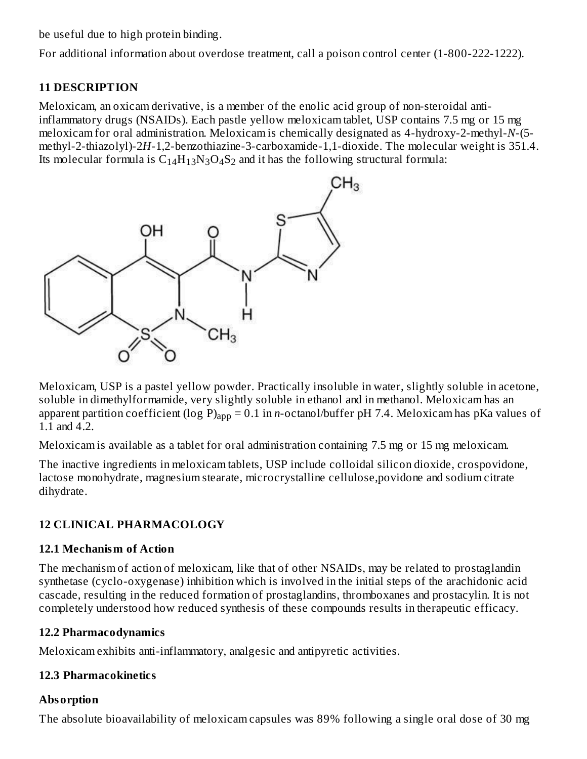be useful due to high protein binding.

For additional information about overdose treatment, call a poison control center (1-800-222-1222).

# **11 DESCRIPTION**

Meloxicam, an oxicam derivative, is a member of the enolic acid group of non-steroidal antiinflammatory drugs (NSAIDs). Each pastle yellow meloxicam tablet, USP contains 7.5 mg or 15 mg meloxicam for oral administration. Meloxicam is chemically designated as 4-hydroxy-2-methyl-*N*-(5 methyl-2-thiazolyl)-2*H*-1,2-benzothiazine-3-carboxamide-1,1-dioxide. The molecular weight is 351.4. Its molecular formula is  $C_{14}H_{13}N_3O_4S_2$  and it has the following structural formula:



Meloxicam, USP is a pastel yellow powder. Practically insoluble in water, slightly soluble in acetone, soluble in dimethylformamide, very slightly soluble in ethanol and in methanol. Meloxicam has an apparent partition coefficient (log P)<sub>app</sub> = 0.1 in *n*-octanol/buffer pH 7.4. Meloxicam has pKa values of 1.1 and 4.2.

Meloxicam is available as a tablet for oral administration containing 7.5 mg or 15 mg meloxicam.

The inactive ingredients in meloxicam tablets, USP include colloidal silicon dioxide, crospovidone, lactose monohydrate, magnesium stearate, microcrystalline cellulose,povidone and sodium citrate dihydrate.

# **12 CLINICAL PHARMACOLOGY**

## **12.1 Mechanism of Action**

The mechanism of action of meloxicam, like that of other NSAIDs, may be related to prostaglandin synthetase (cyclo-oxygenase) inhibition which is involved in the initial steps of the arachidonic acid cascade, resulting in the reduced formation of prostaglandins, thromboxanes and prostacylin. It is not completely understood how reduced synthesis of these compounds results in therapeutic efficacy.

## **12.2 Pharmacodynamics**

Meloxicam exhibits anti-inflammatory, analgesic and antipyretic activities.

## **12.3 Pharmacokinetics**

## **Absorption**

The absolute bioavailability of meloxicam capsules was 89% following a single oral dose of 30 mg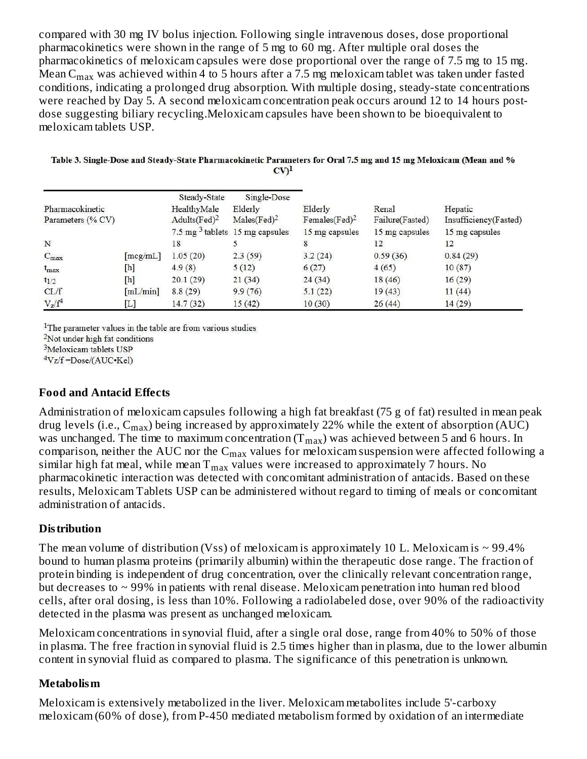compared with 30 mg IV bolus injection. Following single intravenous doses, dose proportional pharmacokinetics were shown in the range of 5 mg to 60 mg. After multiple oral doses the pharmacokinetics of meloxicam capsules were dose proportional over the range of 7.5 mg to 15 mg. Mean C $_{\rm max}$  was achieved within 4 to 5 hours after a 7.5 mg meloxicam tablet was taken under fasted conditions, indicating a prolonged drug absorption. With multiple dosing, steady-state concentrations were reached by Day 5. A second meloxicam concentration peak occurs around 12 to 14 hours postdose suggesting biliary recycling.Meloxicam capsules have been shown to be bioequivalent to meloxicam tablets USP.

| Table 3. Single-Dose and Steady-State Pharmacokinetic Parameters for Oral 7.5 mg and 15 mg Meloxicam (Mean and % |  |
|------------------------------------------------------------------------------------------------------------------|--|
| $\mathbf{C} \mathbf{V}$                                                                                          |  |

|                   |                                                                                                                                                                                                                                                                                                                                                                                                                                                                                                                          | Steady-State             | Single-Dose                       |                   |                 |                       |
|-------------------|--------------------------------------------------------------------------------------------------------------------------------------------------------------------------------------------------------------------------------------------------------------------------------------------------------------------------------------------------------------------------------------------------------------------------------------------------------------------------------------------------------------------------|--------------------------|-----------------------------------|-------------------|-----------------|-----------------------|
| Pharmacokinetic   |                                                                                                                                                                                                                                                                                                                                                                                                                                                                                                                          | HealthyMale              | Elderly                           | Elderly           | Renal           | Hepatic               |
| Parameters (% CV) |                                                                                                                                                                                                                                                                                                                                                                                                                                                                                                                          | Adults(Fed) <sup>2</sup> | Males(Fed) <sup>2</sup>           | Females $(Fed)^2$ | Failure(Fasted) | Insufficiency(Fasted) |
|                   |                                                                                                                                                                                                                                                                                                                                                                                                                                                                                                                          |                          | 7.5 mg $3$ tablets 15 mg capsules | 15 mg capsules    | 15 mg capsules  | 15 mg capsules        |
| N                 |                                                                                                                                                                                                                                                                                                                                                                                                                                                                                                                          | 18                       |                                   |                   | 12              | 12                    |
| $C_{\text{max}}$  | [mcg/mL]                                                                                                                                                                                                                                                                                                                                                                                                                                                                                                                 | 1.05(20)                 | 2.3(59)                           | 3.2(24)           | 0.59(36)        | 0.84(29)              |
| $t_{\rm max}$     | $[h] \centering \includegraphics[width=0.45\textwidth]{Figures/PD1.png} \caption{The 3D (black) model for the 3D (black) model. The 3D (black) model is shown in Fig.~\ref{fig:1}, (a) and (b) and (c) are shown in Fig.~\ref{fig:1}, (b) and (c) are shown in Fig.~\ref{fig:1}, (c) and (d) are shown in Fig.~\ref{fig:1}, (d) and (e) are shown in Fig.~\ref{fig:1}, (e) and (f) are shown in Fig.~\ref{fig:1}, (f) and (g) are shown in Fig.~\ref{fig:1}, (g) and (h) are shown in Fig.~\ref{fig:1}, (h) and (i) are$ | 4.9(8)                   | 5(12)                             | 6(27)             | 4(65)           | 10(87)                |
| $t_{1/2}$         | $[h] \centering \vspace{0.000000} \caption{The graph $\mathcal{N}_1$ is a function of $n = 100$ (black) and the number of nodes in the right.} \label{fig:non-linear}$                                                                                                                                                                                                                                                                                                                                                   | 20.1(29)                 | 21(34)                            | 24(34)            | 18(46)          | 16(29)                |
| CL/f              | [mL/min]                                                                                                                                                                                                                                                                                                                                                                                                                                                                                                                 | 8.8(29)                  | 9.9(76)                           | 5.1(22)           | 19(43)          | 11(44)                |
| $V_z/f^4$         | $[{\rm L}]$                                                                                                                                                                                                                                                                                                                                                                                                                                                                                                              | 14.7(32)                 | 15(42)                            | 10(30)            | 26(44)          | 14(29)                |

<sup>1</sup>The parameter values in the table are from various studies

<sup>2</sup>Not under high fat conditions

<sup>3</sup>Meloxicam tablets USP

 $4Vz/f = Dose/(AUC•$ Kel)

#### **Food and Antacid Effects**

Administration of meloxicam capsules following a high fat breakfast (75 g of fat) resulted in mean peak drug levels (i.e.,  $\rm{C_{max}}$ ) being increased by approximately 22% while the extent of absorption (AUC) was unchanged. The time to maximum concentration (T $_{\rm max}$ ) was achieved between 5 and 6 hours. In comparison, neither the AUC nor the  $\mathsf{C}_{\max}$  values for meloxicam suspension were affected following a similar high fat meal, while mean  $\rm T_{max}$  values were increased to approximately 7 hours. No pharmacokinetic interaction was detected with concomitant administration of antacids. Based on these results, Meloxicam Tablets USP can be administered without regard to timing of meals or concomitant administration of antacids.

#### **Distribution**

The mean volume of distribution (Vss) of meloxicam is approximately 10 L. Meloxicam is  $\sim$  99.4% bound to human plasma proteins (primarily albumin) within the therapeutic dose range. The fraction of protein binding is independent of drug concentration, over the clinically relevant concentration range, but decreases to  $\sim$  99% in patients with renal disease. Meloxicam penetration into human red blood cells, after oral dosing, is less than 10%. Following a radiolabeled dose, over 90% of the radioactivity detected in the plasma was present as unchanged meloxicam.

Meloxicam concentrations in synovial fluid, after a single oral dose, range from 40% to 50% of those in plasma. The free fraction in synovial fluid is 2.5 times higher than in plasma, due to the lower albumin content in synovial fluid as compared to plasma. The significance of this penetration is unknown.

#### **Metabolism**

Meloxicam is extensively metabolized in the liver. Meloxicam metabolites include 5'-carboxy meloxicam (60% of dose), from P-450 mediated metabolism formed by oxidation of an intermediate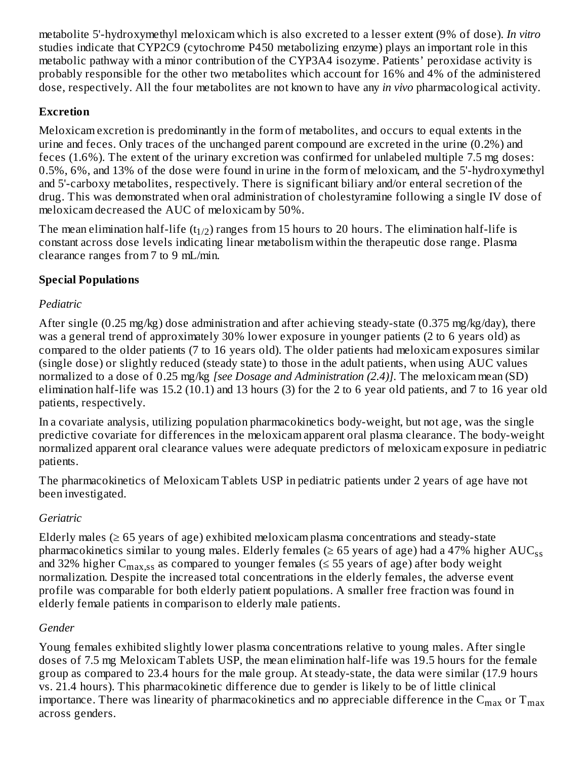metabolite 5'-hydroxymethyl meloxicam which is also excreted to a lesser extent (9% of dose). *In vitro* studies indicate that CYP2C9 (cytochrome P450 metabolizing enzyme) plays an important role in this metabolic pathway with a minor contribution of the CYP3A4 isozyme. Patients' peroxidase activity is probably responsible for the other two metabolites which account for 16% and 4% of the administered dose, respectively. All the four metabolites are not known to have any *in vivo* pharmacological activity.

## **Excretion**

Meloxicam excretion is predominantly in the form of metabolites, and occurs to equal extents in the urine and feces. Only traces of the unchanged parent compound are excreted in the urine (0.2%) and feces (1.6%). The extent of the urinary excretion was confirmed for unlabeled multiple 7.5 mg doses: 0.5%, 6%, and 13% of the dose were found in urine in the form of meloxicam, and the 5'-hydroxymethyl and 5'-carboxy metabolites, respectively. There is significant biliary and/or enteral secretion of the drug. This was demonstrated when oral administration of cholestyramine following a single IV dose of meloxicam decreased the AUC of meloxicam by 50%.

The mean elimination half-life  $(t_{1/2})$  ranges from 15 hours to 20 hours. The elimination half-life is constant across dose levels indicating linear metabolism within the therapeutic dose range. Plasma clearance ranges from 7 to 9 mL/min.

# **Special Populations**

# *Pediatric*

After single (0.25 mg/kg) dose administration and after achieving steady-state (0.375 mg/kg/day), there was a general trend of approximately 30% lower exposure in younger patients (2 to 6 years old) as compared to the older patients (7 to 16 years old). The older patients had meloxicam exposures similar (single dose) or slightly reduced (steady state) to those in the adult patients, when using AUC values normalized to a dose of 0.25 mg/kg *[see Dosage and Administration (2.4)]*. The meloxicam mean (SD) elimination half-life was 15.2 (10.1) and 13 hours (3) for the 2 to 6 year old patients, and 7 to 16 year old patients, respectively.

In a covariate analysis, utilizing population pharmacokinetics body-weight, but not age, was the single predictive covariate for differences in the meloxicam apparent oral plasma clearance. The body-weight normalized apparent oral clearance values were adequate predictors of meloxicam exposure in pediatric patients.

The pharmacokinetics of Meloxicam Tablets USP in pediatric patients under 2 years of age have not been investigated.

## *Geriatric*

Elderly males  $(≥ 65$  years of age) exhibited meloxicam plasma concentrations and steady-state pharmacokinetics similar to young males. Elderly females (≥ 65 years of age) had a 47% higher  $\mathrm{AUC}_{\mathrm{ss}}$ and 32% higher  $\rm{C_{max,ss}}$  as compared to younger females ( $\leq$  55 years of age) after body weight normalization. Despite the increased total concentrations in the elderly females, the adverse event profile was comparable for both elderly patient populations. A smaller free fraction was found in elderly female patients in comparison to elderly male patients.

## *Gender*

Young females exhibited slightly lower plasma concentrations relative to young males. After single doses of 7.5 mg Meloxicam Tablets USP, the mean elimination half-life was 19.5 hours for the female group as compared to 23.4 hours for the male group. At steady-state, the data were similar (17.9 hours vs. 21.4 hours). This pharmacokinetic difference due to gender is likely to be of little clinical importance. There was linearity of pharmacokinetics and no appreciable difference in the  $\mathsf{C}_{\max}$  or  $\mathsf{T}_{\max}$ across genders.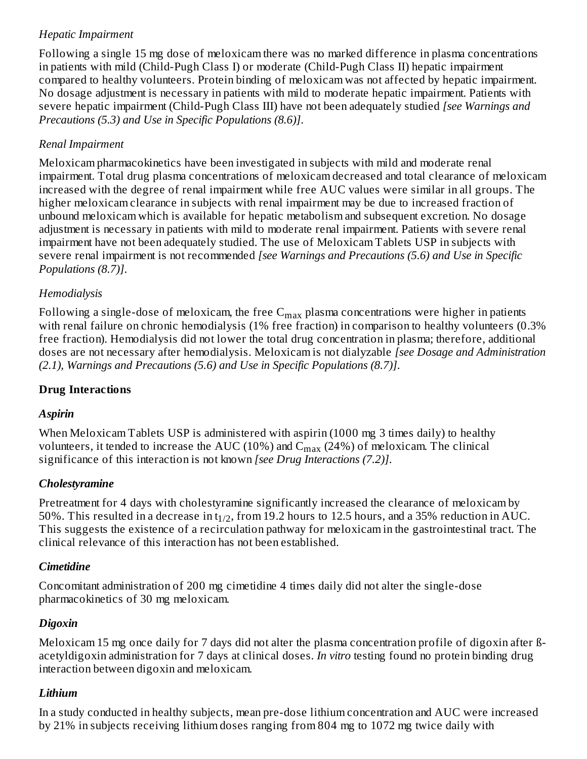## *Hepatic Impairment*

Following a single 15 mg dose of meloxicam there was no marked difference in plasma concentrations in patients with mild (Child-Pugh Class I) or moderate (Child-Pugh Class II) hepatic impairment compared to healthy volunteers. Protein binding of meloxicam was not affected by hepatic impairment. No dosage adjustment is necessary in patients with mild to moderate hepatic impairment. Patients with severe hepatic impairment (Child-Pugh Class III) have not been adequately studied *[see Warnings and Precautions (5.3) and Use in Specific Populations (8.6)]*.

## *Renal Impairment*

Meloxicam pharmacokinetics have been investigated in subjects with mild and moderate renal impairment. Total drug plasma concentrations of meloxicam decreased and total clearance of meloxicam increased with the degree of renal impairment while free AUC values were similar in all groups. The higher meloxicam clearance in subjects with renal impairment may be due to increased fraction of unbound meloxicam which is available for hepatic metabolism and subsequent excretion. No dosage adjustment is necessary in patients with mild to moderate renal impairment. Patients with severe renal impairment have not been adequately studied. The use of Meloxicam Tablets USP in subjects with severe renal impairment is not recommended *[see Warnings and Precautions (5.6) and Use in Specific Populations (8.7)]*.

#### *Hemodialysis*

Following a single-dose of meloxicam, the free  $\mathsf{C}_{\max}$  plasma concentrations were higher in patients with renal failure on chronic hemodialysis (1% free fraction) in comparison to healthy volunteers (0.3% free fraction). Hemodialysis did not lower the total drug concentration in plasma; therefore, additional doses are not necessary after hemodialysis. Meloxicam is not dialyzable *[see Dosage and Administration (2.1), Warnings and Precautions (5.6) and Use in Specific Populations (8.7)]*.

## **Drug Interactions**

## *Aspirin*

When Meloxicam Tablets USP is administered with aspirin (1000 mg 3 times daily) to healthy volunteers, it tended to increase the AUC (10%) and  $\rm{C_{max}}$  (24%) of meloxicam. The clinical significance of this interaction is not known *[see Drug Interactions (7.2)]*.

#### *Cholestyramine*

Pretreatment for 4 days with cholestyramine significantly increased the clearance of meloxicam by 50%. This resulted in a decrease in t $_{1/2}$ , from 19.2 hours to 12.5 hours, and a 35% reduction in AUC. This suggests the existence of a recirculation pathway for meloxicam in the gastrointestinal tract. The clinical relevance of this interaction has not been established.

#### *Cimetidine*

Concomitant administration of 200 mg cimetidine 4 times daily did not alter the single-dose pharmacokinetics of 30 mg meloxicam.

## *Digoxin*

Meloxicam 15 mg once daily for 7 days did not alter the plasma concentration profile of digoxin after ßacetyldigoxin administration for 7 days at clinical doses. *In vitro* testing found no protein binding drug interaction between digoxin and meloxicam.

## *Lithium*

In a study conducted in healthy subjects, mean pre-dose lithium concentration and AUC were increased by 21% in subjects receiving lithium doses ranging from 804 mg to 1072 mg twice daily with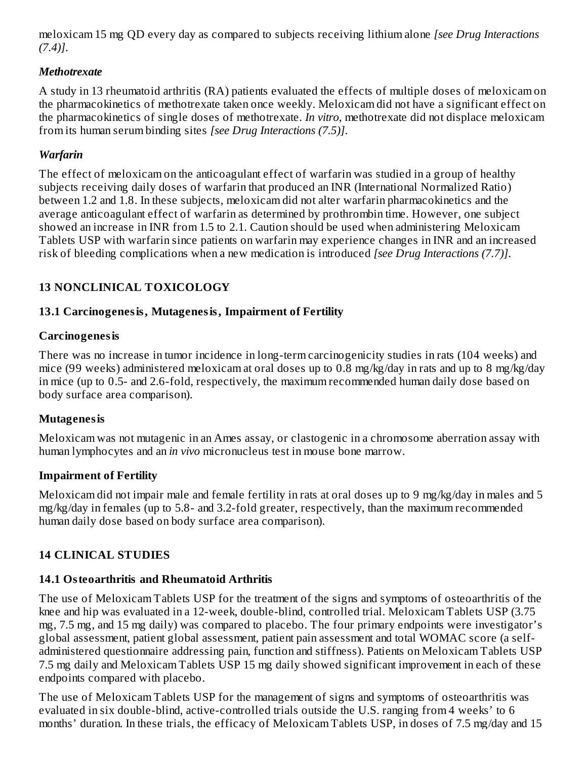meloxicam 15 mg QD every day as compared to subjects receiving lithium alone *[see Drug Interactions (7.4)]*.

#### *Methotrexate*

A study in 13 rheumatoid arthritis (RA) patients evaluated the effects of multiple doses of meloxicam on the pharmacokinetics of methotrexate taken once weekly. Meloxicam did not have a significant effect on the pharmacokinetics of single doses of methotrexate. *In vitro*, methotrexate did not displace meloxicam from its human serum binding sites *[see Drug Interactions (7.5)]*.

#### *Warfarin*

The effect of meloxicam on the anticoagulant effect of warfarin was studied in a group of healthy subjects receiving daily doses of warfarin that produced an INR (International Normalized Ratio) between 1.2 and 1.8. In these subjects, meloxicam did not alter warfarin pharmacokinetics and the average anticoagulant effect of warfarin as determined by prothrombin time. However, one subject showed an increase in INR from 1.5 to 2.1. Caution should be used when administering Meloxicam Tablets USP with warfarin since patients on warfarin may experience changes in INR and an increased risk of bleeding complications when a new medication is introduced *[see Drug Interactions (7.7)]*.

## **13 NONCLINICAL TOXICOLOGY**

## **13.1 Carcinogenesis, Mutagenesis, Impairment of Fertility**

#### **Carcinogenesis**

There was no increase in tumor incidence in long-term carcinogenicity studies in rats (104 weeks) and mice (99 weeks) administered meloxicam at oral doses up to 0.8 mg/kg/day in rats and up to 8 mg/kg/day in mice (up to 0.5- and 2.6-fold, respectively, the maximum recommended human daily dose based on body surface area comparison).

#### **Mutagenesis**

Meloxicam was not mutagenic in an Ames assay, or clastogenic in a chromosome aberration assay with human lymphocytes and an *in vivo* micronucleus test in mouse bone marrow.

## **Impairment of Fertility**

Meloxicam did not impair male and female fertility in rats at oral doses up to 9 mg/kg/day in males and 5 mg/kg/day in females (up to 5.8- and 3.2-fold greater, respectively, than the maximum recommended human daily dose based on body surface area comparison).

# **14 CLINICAL STUDIES**

## **14.1 Osteoarthritis and Rheumatoid Arthritis**

The use of Meloxicam Tablets USP for the treatment of the signs and symptoms of osteoarthritis of the knee and hip was evaluated in a 12-week, double-blind, controlled trial. Meloxicam Tablets USP (3.75 mg, 7.5 mg, and 15 mg daily) was compared to placebo. The four primary endpoints were investigator's global assessment, patient global assessment, patient pain assessment and total WOMAC score (a selfadministered questionnaire addressing pain, function and stiffness). Patients on Meloxicam Tablets USP 7.5 mg daily and Meloxicam Tablets USP 15 mg daily showed significant improvement in each of these endpoints compared with placebo.

The use of Meloxicam Tablets USP for the management of signs and symptoms of osteoarthritis was evaluated in six double-blind, active-controlled trials outside the U.S. ranging from 4 weeks' to 6 months' duration. In these trials, the efficacy of Meloxicam Tablets USP, in doses of 7.5 mg/day and 15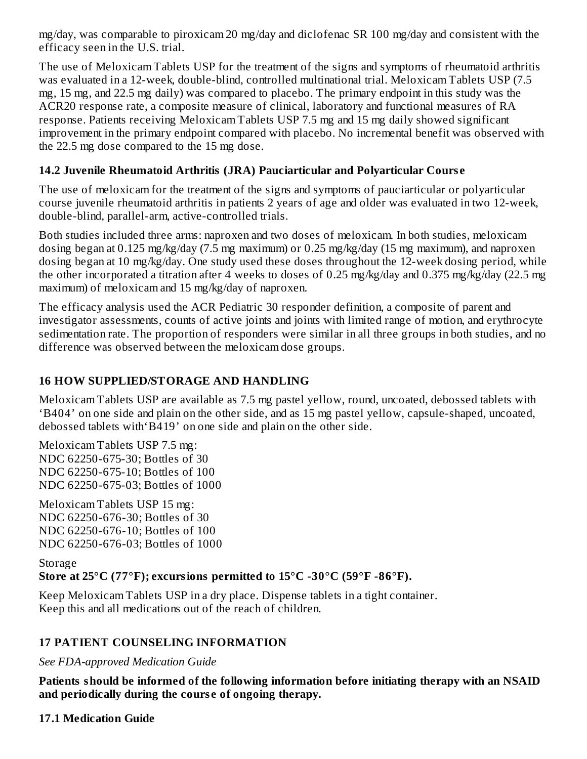mg/day, was comparable to piroxicam 20 mg/day and diclofenac SR 100 mg/day and consistent with the efficacy seen in the U.S. trial.

The use of Meloxicam Tablets USP for the treatment of the signs and symptoms of rheumatoid arthritis was evaluated in a 12-week, double-blind, controlled multinational trial. Meloxicam Tablets USP (7.5 mg, 15 mg, and 22.5 mg daily) was compared to placebo. The primary endpoint in this study was the ACR20 response rate, a composite measure of clinical, laboratory and functional measures of RA response. Patients receiving Meloxicam Tablets USP 7.5 mg and 15 mg daily showed significant improvement in the primary endpoint compared with placebo. No incremental benefit was observed with the 22.5 mg dose compared to the 15 mg dose.

#### **14.2 Juvenile Rheumatoid Arthritis (JRA) Pauciarticular and Polyarticular Cours e**

The use of meloxicam for the treatment of the signs and symptoms of pauciarticular or polyarticular course juvenile rheumatoid arthritis in patients 2 years of age and older was evaluated in two 12-week, double-blind, parallel-arm, active-controlled trials.

Both studies included three arms: naproxen and two doses of meloxicam. In both studies, meloxicam dosing began at 0.125 mg/kg/day (7.5 mg maximum) or 0.25 mg/kg/day (15 mg maximum), and naproxen dosing began at 10 mg/kg/day. One study used these doses throughout the 12-week dosing period, while the other incorporated a titration after 4 weeks to doses of 0.25 mg/kg/day and 0.375 mg/kg/day (22.5 mg maximum) of meloxicam and 15 mg/kg/day of naproxen.

The efficacy analysis used the ACR Pediatric 30 responder definition, a composite of parent and investigator assessments, counts of active joints and joints with limited range of motion, and erythrocyte sedimentation rate. The proportion of responders were similar in all three groups in both studies, and no difference was observed between the meloxicam dose groups.

#### **16 HOW SUPPLIED/STORAGE AND HANDLING**

Meloxicam Tablets USP are available as 7.5 mg pastel yellow, round, uncoated, debossed tablets with 'B404' on one side and plain on the other side, and as 15 mg pastel yellow, capsule-shaped, uncoated, debossed tablets with'B419' on one side and plain on the other side.

Meloxicam Tablets USP 7.5 mg: NDC 62250-675-30; Bottles of 30 NDC 62250-675-10; Bottles of 100 NDC 62250-675-03; Bottles of 1000

Meloxicam Tablets USP 15 mg: NDC 62250-676-30; Bottles of 30 NDC 62250-676-10; Bottles of 100 NDC 62250-676-03; Bottles of 1000

#### Storage **Store at 25°C (77°F); excursions permitted to 15°C -30°C (59°F -86°F).**

Keep Meloxicam Tablets USP in a dry place. Dispense tablets in a tight container. Keep this and all medications out of the reach of children.

## **17 PATIENT COUNSELING INFORMATION**

*See FDA-approved Medication Guide*

**Patients should be informed of the following information before initiating therapy with an NSAID and periodically during the cours e of ongoing therapy.**

#### **17.1 Medication Guide**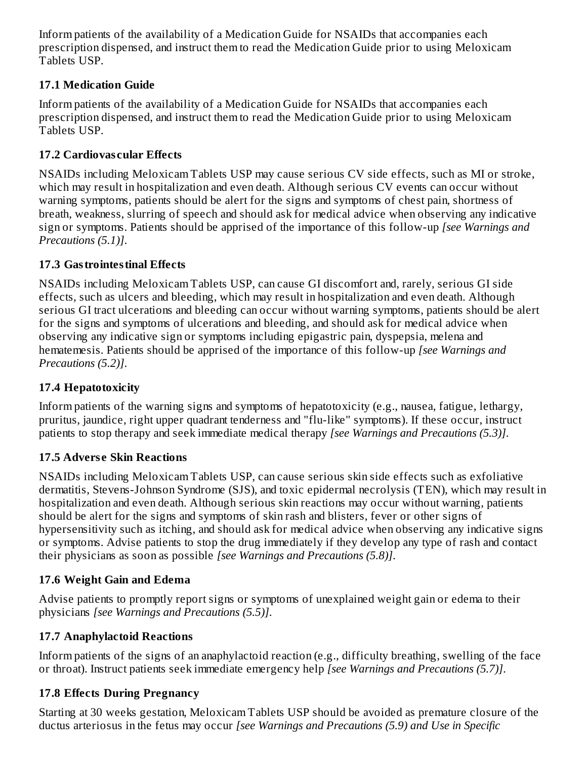Inform patients of the availability of a Medication Guide for NSAIDs that accompanies each prescription dispensed, and instruct them to read the Medication Guide prior to using Meloxicam Tablets USP.

# **17.1 Medication Guide**

Inform patients of the availability of a Medication Guide for NSAIDs that accompanies each prescription dispensed, and instruct them to read the Medication Guide prior to using Meloxicam Tablets USP.

## **17.2 Cardiovas cular Effects**

NSAIDs including Meloxicam Tablets USP may cause serious CV side effects, such as MI or stroke, which may result in hospitalization and even death. Although serious CV events can occur without warning symptoms, patients should be alert for the signs and symptoms of chest pain, shortness of breath, weakness, slurring of speech and should ask for medical advice when observing any indicative sign or symptoms. Patients should be apprised of the importance of this follow-up *[see Warnings and Precautions (5.1)]*.

# **17.3 Gastrointestinal Effects**

NSAIDs including Meloxicam Tablets USP, can cause GI discomfort and, rarely, serious GI side effects, such as ulcers and bleeding, which may result in hospitalization and even death. Although serious GI tract ulcerations and bleeding can occur without warning symptoms, patients should be alert for the signs and symptoms of ulcerations and bleeding, and should ask for medical advice when observing any indicative sign or symptoms including epigastric pain, dyspepsia, melena and hematemesis. Patients should be apprised of the importance of this follow-up *[see Warnings and Precautions (5.2)]*.

# **17.4 Hepatotoxicity**

Inform patients of the warning signs and symptoms of hepatotoxicity (e.g., nausea, fatigue, lethargy, pruritus, jaundice, right upper quadrant tenderness and "flu-like" symptoms). If these occur, instruct patients to stop therapy and seek immediate medical therapy *[see Warnings and Precautions (5.3)]*.

## **17.5 Advers e Skin Reactions**

NSAIDs including Meloxicam Tablets USP, can cause serious skin side effects such as exfoliative dermatitis, Stevens-Johnson Syndrome (SJS), and toxic epidermal necrolysis (TEN), which may result in hospitalization and even death. Although serious skin reactions may occur without warning, patients should be alert for the signs and symptoms of skin rash and blisters, fever or other signs of hypersensitivity such as itching, and should ask for medical advice when observing any indicative signs or symptoms. Advise patients to stop the drug immediately if they develop any type of rash and contact their physicians as soon as possible *[see Warnings and Precautions (5.8)]*.

# **17.6 Weight Gain and Edema**

Advise patients to promptly report signs or symptoms of unexplained weight gain or edema to their physicians *[see Warnings and Precautions (5.5)]*.

# **17.7 Anaphylactoid Reactions**

Inform patients of the signs of an anaphylactoid reaction (e.g., difficulty breathing, swelling of the face or throat). Instruct patients seek immediate emergency help *[see Warnings and Precautions (5.7)]*.

## **17.8 Effects During Pregnancy**

Starting at 30 weeks gestation, Meloxicam Tablets USP should be avoided as premature closure of the ductus arteriosus in the fetus may occur *[see Warnings and Precautions (5.9) and Use in Specific*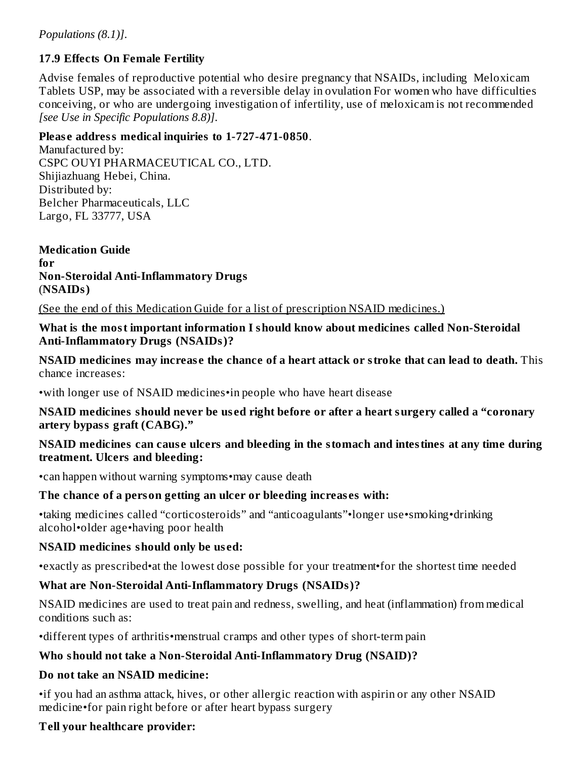*Populations (8.1)]*.

## **17.9 Effects On Female Fertility**

Advise females of reproductive potential who desire pregnancy that NSAIDs, including Meloxicam Tablets USP, may be associated with a reversible delay in ovulation For women who have difficulties conceiving, or who are undergoing investigation of infertility, use of meloxicam is not recommended *[see Use in Specific Populations 8.8)]*.

## **Pleas e address medical inquiries to 1-727-471-0850**.

Manufactured by: CSPC OUYI PHARMACEUTICAL CO., LTD. Shijiazhuang Hebei, China. Distributed by: Belcher Pharmaceuticals, LLC Largo, FL 33777, USA

**Medication Guide for Non-Steroidal Anti-Inflammatory Drugs** (**NSAIDs)**

(See the end of this Medication Guide for a list of prescription NSAID medicines.)

**What is the most important information I should know about medicines called Non-Steroidal Anti-Inflammatory Drugs (NSAIDs)?**

**NSAID medicines may increas e the chance of a heart attack or stroke that can lead to death.** This chance increases:

•with longer use of NSAID medicines•in people who have heart disease

**NSAID medicines should never be us ed right before or after a heart surgery called a "coronary artery bypass graft (CABG)."**

#### **NSAID medicines can caus e ulcers and bleeding in the stomach and intestines at any time during treatment. Ulcers and bleeding:**

•can happen without warning symptoms•may cause death

# **The chance of a person getting an ulcer or bleeding increas es with:**

•taking medicines called "corticosteroids" and "anticoagulants"•longer use•smoking•drinking alcohol•older age•having poor health

# **NSAID medicines should only be us ed:**

•exactly as prescribed•at the lowest dose possible for your treatment•for the shortest time needed

# **What are Non-Steroidal Anti-Inflammatory Drugs (NSAIDs)?**

NSAID medicines are used to treat pain and redness, swelling, and heat (inflammation) from medical conditions such as:

•different types of arthritis•menstrual cramps and other types of short-term pain

# **Who should not take a Non-Steroidal Anti-Inflammatory Drug (NSAID)?**

# **Do not take an NSAID medicine:**

•if you had an asthma attack, hives, or other allergic reaction with aspirin or any other NSAID medicine•for pain right before or after heart bypass surgery

# **Tell your healthcare provider:**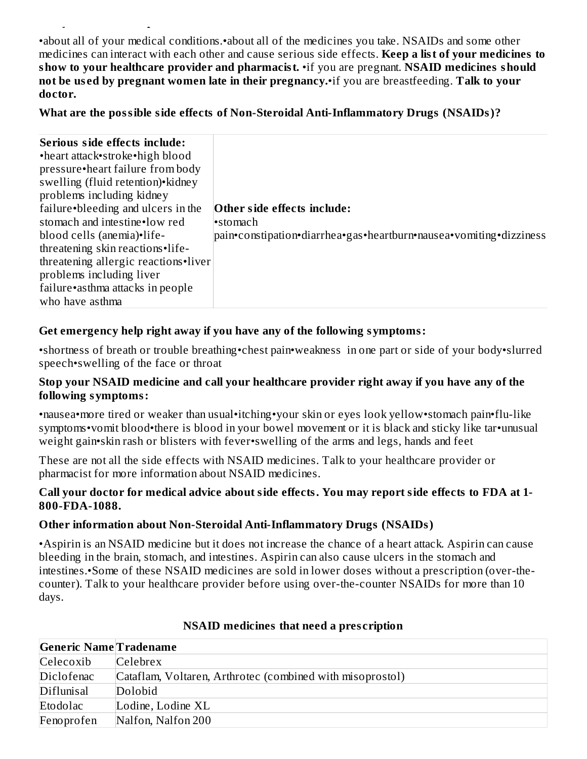•about all of your medical conditions.•about all of the medicines you take. NSAIDs and some other medicines can interact with each other and cause serious side effects. **Keep a list of your medicines to show to your healthcare provider and pharmacist.** •if you are pregnant. **NSAID medicines should not be us ed by pregnant women late in their pregnancy.**•if you are breastfeeding. **Talk to your doctor.**

**What are the possible side effects of Non-Steroidal Anti-Inflammatory Drugs (NSAIDs)?**

**Tell your healthcare provider:**

| Serious side effects include:<br>•heart attack•stroke•high blood<br>pressure•heart failure from body<br>swelling (fluid retention)•kidney<br>problems including kidney<br>failure•bleeding and ulcers in the<br>stomach and intestine•low red<br>blood cells (anemia)•life-<br>threatening skin reactions•life-<br>threatening allergic reactions•liver<br>problems including liver | Other side effects include:<br>•stomach<br>pain•constipation•diarrhea•gas•heartburn•nausea•vomiting•dizziness |
|-------------------------------------------------------------------------------------------------------------------------------------------------------------------------------------------------------------------------------------------------------------------------------------------------------------------------------------------------------------------------------------|---------------------------------------------------------------------------------------------------------------|
|                                                                                                                                                                                                                                                                                                                                                                                     |                                                                                                               |
| failure•asthma attacks in people                                                                                                                                                                                                                                                                                                                                                    |                                                                                                               |
| who have asthma                                                                                                                                                                                                                                                                                                                                                                     |                                                                                                               |

## **Get emergency help right away if you have any of the following symptoms:**

•shortness of breath or trouble breathing•chest pain•weakness in one part or side of your body•slurred speech•swelling of the face or throat

#### **Stop your NSAID medicine and call your healthcare provider right away if you have any of the following symptoms:**

•nausea•more tired or weaker than usual•itching•your skin or eyes look yellow•stomach pain•flu-like symptoms•vomit blood•there is blood in your bowel movement or it is black and sticky like tar•unusual weight gain•skin rash or blisters with fever•swelling of the arms and legs, hands and feet

These are not all the side effects with NSAID medicines. Talk to your healthcare provider or pharmacist for more information about NSAID medicines.

#### **Call your doctor for medical advice about side effects. You may report side effects to FDA at 1- 800-FDA-1088.**

## **Other information about Non-Steroidal Anti-Inflammatory Drugs (NSAIDs)**

•Aspirin is an NSAID medicine but it does not increase the chance of a heart attack. Aspirin can cause bleeding in the brain, stomach, and intestines. Aspirin can also cause ulcers in the stomach and intestines.•Some of these NSAID medicines are sold in lower doses without a prescription (over-thecounter). Talk to your healthcare provider before using over-the-counter NSAIDs for more than 10 days.

| Generic Name Tradename |                                                           |
|------------------------|-----------------------------------------------------------|
| Celecoxib              | Celebrex                                                  |
| Diclofenac             | Cataflam, Voltaren, Arthrotec (combined with misoprostol) |
| Diflunisal             | Dolobid                                                   |
| Etodolac               | Lodine, Lodine XL                                         |
| Fenoprofen             | Nalfon, Nalfon 200                                        |

#### **NSAID medicines that need a pres cription**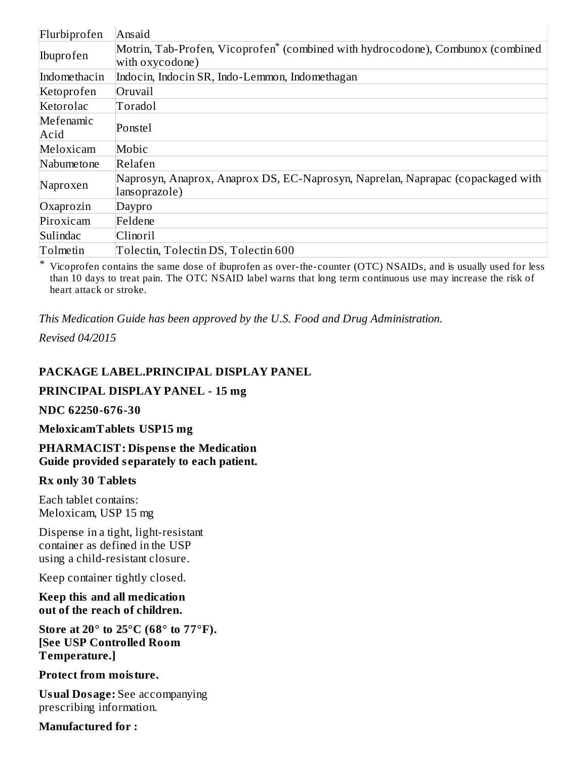| Flurbiprofen | Ansaid                                                                                      |
|--------------|---------------------------------------------------------------------------------------------|
|              | Motrin, Tab-Profen, Vicoprofen <sup>*</sup> (combined with hydrocodone), Combunox (combined |
| Ibuprofen    | with oxycodone)                                                                             |
| Indomethacin | Indocin, Indocin SR, Indo-Lemmon, Indomethagan                                              |
| Ketoprofen   | Oruvail                                                                                     |
| Ketorolac    | Toradol                                                                                     |
| Mefenamic    | Ponstel                                                                                     |
| Acid         |                                                                                             |
| Meloxicam    | Mobic                                                                                       |
| Nabumetone   | Relafen                                                                                     |
| Naproxen     | Naprosyn, Anaprox, Anaprox DS, EC-Naprosyn, Naprelan, Naprapac (copackaged with             |
|              | lansoprazole)                                                                               |
| Oxaprozin    | Daypro                                                                                      |
| Piroxicam    | Feldene                                                                                     |
| Sulindac     | Clinoril                                                                                    |
| Tolmetin     | Tolectin, Tolectin DS, Tolectin 600                                                         |

\* Vicoprofen contains the same dose of ibuprofen as over-the-counter (OTC) NSAIDs, and is usually used for less than 10 days to treat pain. The OTC NSAID label warns that long term continuous use may increase the risk of heart attack or stroke.

*This Medication Guide has been approved by the U.S. Food and Drug Administration.*

*Revised 04/2015*

## **PACKAGE LABEL.PRINCIPAL DISPLAY PANEL**

#### **PRINCIPAL DISPLAY PANEL - 15 mg**

#### **NDC 62250-676-30**

#### **MeloxicamTablets USP15 mg**

#### **PHARMACIST: Dispens e the Medication Guide provided s eparately to each patient.**

#### **Rx only 30 Tablets**

Each tablet contains: Meloxicam, USP 15 mg

Dispense in a tight, light-resistant container as defined in the USP using a child-resistant closure.

Keep container tightly closed.

#### **Keep this and all medication out of the reach of children.**

**Store at 20° to 25°C (68° to 77°F). [See USP Controlled Room Temperature.]**

#### **Protect from moisture.**

**Usual Dosage:** See accompanying prescribing information.

#### **Manufactured for :**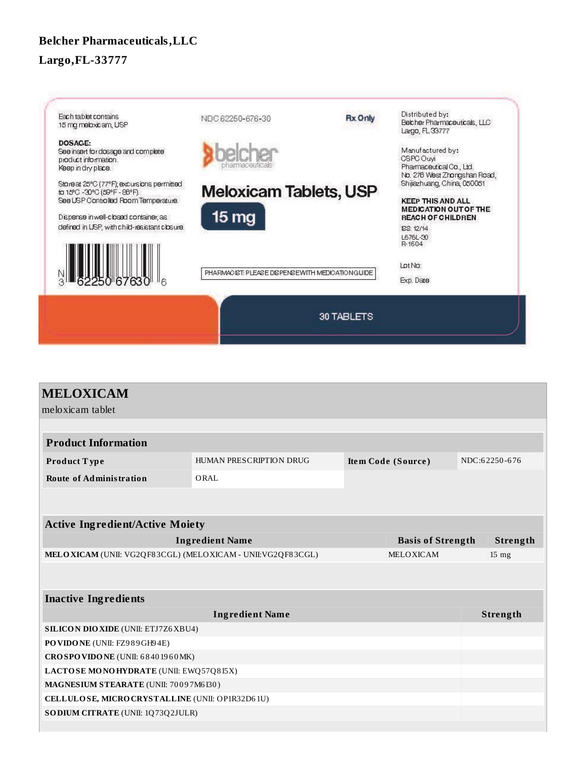#### **Belcher Pharmaceuticals,LLC**

#### **Largo,FL-33777**



| <b>MELOXICAM</b>                                           |                         |                          |                 |
|------------------------------------------------------------|-------------------------|--------------------------|-----------------|
| meloxicam tablet                                           |                         |                          |                 |
|                                                            |                         |                          |                 |
| <b>Product Information</b>                                 |                         |                          |                 |
| Product Type                                               | HUMAN PRESCRIPTION DRUG | Item Code (Source)       | NDC:62250-676   |
| <b>Route of Administration</b>                             | ORAL                    |                          |                 |
|                                                            |                         |                          |                 |
|                                                            |                         |                          |                 |
| <b>Active Ingredient/Active Moiety</b>                     |                         |                          |                 |
|                                                            | <b>Ingredient Name</b>  | <b>Basis of Strength</b> | Strength        |
| MELOXICAM (UNII: VG2QF83CGL) (MELOXICAM - UNII:VG2QF83CGL) |                         | MELOXICAM                | $15 \text{ mg}$ |
|                                                            |                         |                          |                 |
|                                                            |                         |                          |                 |
| <b>Inactive Ingredients</b>                                |                         |                          |                 |
|                                                            | <b>Ingredient Name</b>  |                          | Strength        |
| <b>SILICON DIO XIDE (UNII: ETJ7Z6 XBU4)</b>                |                         |                          |                 |
| PO VIDO NE (UNII: FZ989GH94E)                              |                         |                          |                 |
| CROSPOVIDONE (UNII: 68401960MK)                            |                         |                          |                 |
| LACTOSE MONOHYDRATE (UNII: EWQ57Q8I5X)                     |                         |                          |                 |
| MAGNESIUM STEARATE (UNII: 70097M6I30)                      |                         |                          |                 |
| CELLULOSE, MICRO CRYSTALLINE (UNII: OP1R32D61U)            |                         |                          |                 |
| SODIUM CITRATE (UNII: 1Q73Q2JULR)                          |                         |                          |                 |
|                                                            |                         |                          |                 |